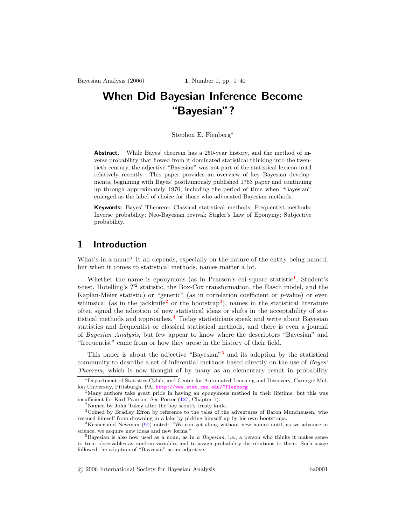<span id="page-0-5"></span>Bayesian Analysis  $(2006)$  1, Number 1, pp. 1–40

# When Did Bayesian Inference Become "Bayesian"?

#### Stephen E. Fienberg<sup>∗</sup>

Abstract. While Bayes' theorem has a 250-year history, and the method of inverse probability that flowed from it dominated statistical thinking into the twentieth century, the adjective "Bayesian" was not part of the statistical lexicon until relatively recently. This paper provides an overview of key Bayesian developments, beginning with Bayes' posthumously published 1763 paper and continuing up through approximately 1970, including the period of time when "Bayesian" emerged as the label of choice for those who advocated Bayesian methods.

Keywords: Bayes' Theorem; Classical statistical methods; Frequentist methods; Inverse probability; Neo-Bayesian revival; Stigler's Law of Eponymy; Subjective probability.

### 1 Introduction

What's in a name? It all depends, especially on the nature of the entity being named, but when it comes to statistical methods, names matter a lot.

Whether the name is eponymous (as in Pearson's chi-square statistic<sup>[1](#page-0-0)</sup>, Student's t-test, Hotelling's  $T^2$  statistic, the Box-Cox transformation, the Rasch model, and the Kaplan-Meier statistic) or "generic" (as in correlation coefficient or  $p$ -value) or even whimsical (as in the jackknife<sup>[2](#page-0-1)</sup> or the bootstrap<sup>[3](#page-0-2)</sup>), names in the statistical literature often signal the adoption of new statistical ideas or shifts in the acceptability of statistical methods and approaches.[4](#page-0-3) Today statisticians speak and write about Bayesian statistics and frequentist or classical statistical methods, and there is even a journal of Bayesian Analysis, but few appear to know where the descriptors "Bayesian" and "frequentist" came from or how they arose in the history of their field.

This paper is about the adjective "Bayesian"<sup>[5](#page-0-4)</sup> and its adoption by the statistical community to describe a set of inferential methods based directly on the use of Bayes' Theorem, which is now thought of by many as an elementary result in probability

c 2006 International Society for Bayesian Analysis ba0001

<sup>∗</sup>Department of Statistics,Cylab, and Center for Automated Learning and Discovery, Carnegie Mellon University, Pittsburgh, PA, <http://www.stat.cmu.edu/~fienberg>

<span id="page-0-0"></span><sup>&</sup>lt;sup>1</sup>Many authors take great pride in having an eponymous method in their lifetime, but this was insufficient for Karl Pearson. See Porter [\(127](#page-35-0), Chapter 1).

<sup>2</sup>Named by John Tukey after the boy scout's trusty knife.

<span id="page-0-2"></span><span id="page-0-1"></span><sup>3</sup>Coined by Bradley Efron by reference to the tales of the adventures of Baron Munchausen, who rescued himself from drowning in a lake by picking himself up by his own bootstraps.

<span id="page-0-3"></span><sup>4</sup>Kasner and Newman [\(90](#page-32-0)) noted: "We can get along without new names until, as we advance in science, we acquire new ideas and new forms."

<span id="page-0-4"></span> $5B$ ayesian is also now used as a noun, as in a Bayesian, i.e., a person who thinks it makes sense to treat observables as random variables and to assign probability distributions to them. Such usage followed the adoption of "Bayesian" as an adjective.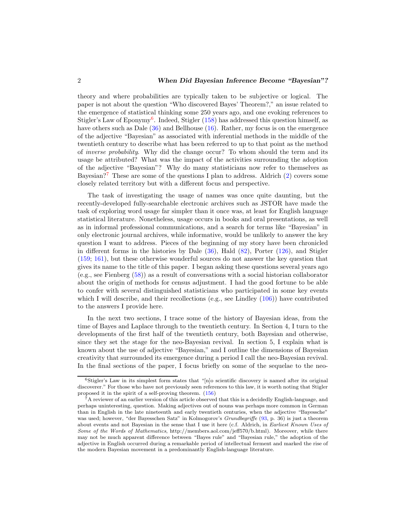#### <span id="page-1-2"></span>2 When Did Bayesian Inference Become "Bayesian"?

theory and where probabilities are typically taken to be subjective or logical. The paper is not about the question "Who discovered Bayes' Theorem?," an issue related to the emergence of statistical thinking some 250 years ago, and one evoking references to Stigler's Law of Eponymy<sup>[6](#page-1-0)</sup>. Indeed, Stigler [\(158\)](#page-37-0) has addressed this question himself, as have others such as Dale  $(36)$  $(36)$  and Bellhouse  $(16)$ . Rather, my focus is on the emergence of the adjective "Bayesian" as associated with inferential methods in the middle of the twentieth century to describe what has been referred to up to that point as the method of inverse probability. Why did the change occur? To whom should the term and its usage be attributed? What was the impact of the activities surrounding the adoption of the adjective "Bayesian"? Why do many statisticians now refer to themselves as Bayesian?<sup>[7](#page-1-1)</sup> These are some of the questions I plan to address. Aldrich  $(2)$  $(2)$  covers some closely related territory but with a different focus and perspective.

The task of investigating the usage of names was once quite daunting, but the recently-developed fully-searchable electronic archives such as JSTOR have made the task of exploring word usage far simpler than it once was, at least for English language statistical literature. Nonetheless, usage occurs in books and oral presentations, as well as in informal professional communications, and a search for terms like "Bayesian" in only electronic journal archives, while informative, would be unlikely to answer the key question I want to address. Pieces of the beginning of my story have been chronicled in different forms in the histories by Dale [\(36\)](#page-29-0), Hald [\(82\)](#page-32-1), Porter [\(126](#page-34-0)), and Stigler [\(159;](#page-37-1) [161](#page-37-2)), but these otherwise wonderful sources do not answer the key question that gives its name to the title of this paper. I began asking these questions several years ago (e.g., see Fienberg [\(58\)](#page-31-0)) as a result of conversations with a social historian collaborator about the origin of methods for census adjustment. I had the good fortune to be able to confer with several distinguished statisticians who participated in some key events which I will describe, and their recollections (e.g., see Lindley  $(106)$ ) have contributed to the answers I provide here.

In the next two sections, I trace some of the history of Bayesian ideas, from the time of Bayes and Laplace through to the twentieth century. In Section 4, I turn to the developments of the first half of the twentieth century, both Bayesian and otherwise, since they set the stage for the neo-Bayesian revival. In section 5, I explain what is known about the use of adjective "Bayesian," and I outline the dimensions of Bayesian creativity that surrounded its emergence during a period I call the neo-Bayesian revival. In the final sections of the paper. I focus briefly on some of the sequelae to the neo-

<span id="page-1-0"></span> $6$ Stigler's Law in its simplest form states that "[n]o scientific discovery is named after its original discoverer." For those who have not previously seen references to this law, it is worth noting that Stigler proposed it in the spirit of a self-proving theorem. [\(156](#page-37-3))

<span id="page-1-1"></span><sup>7</sup>A reviewer of an earlier version of this article observed that this is a decidedly English-language, and perhaps uninteresting, question. Making adjectives out of nouns was perhaps more common in German than in English in the late nineteenth and early twentieth centuries, when the adjective "Bayessche" was used; however, "der Bayesschen Satz" in Kolmogorov's *Grundbegriffe* [\(93,](#page-33-1) p. 36) is just a theorem about events and not Bayesian in the sense that I use it here (c.f. Aldrich, in Earliest Known Uses of Some of the Words of Mathematics, http://members.aol.com/jeff570/b.html). Moreover, while there may not be much apparent difference between "Bayes rule" and "Bayesian rule," the adoption of the adjective in English occurred during a remarkable period of intellectual ferment and marked the rise of the modern Bayesian movement in a predominantly English-language literature.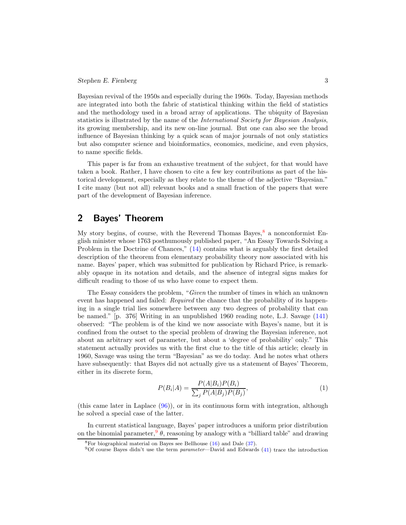<span id="page-2-2"></span>Bayesian revival of the 1950s and especially during the 1960s. Today, Bayesian methods are integrated into both the fabric of statistical thinking within the field of statistics and the methodology used in a broad array of applications. The ubiquity of Bayesian statistics is illustrated by the name of the International Society for Bayesian Analysis, its growing membership, and its new on-line journal. But one can also see the broad influence of Bayesian thinking by a quick scan of major journals of not only statistics but also computer science and bioinformatics, economics, medicine, and even physics, to name specific fields.

This paper is far from an exhaustive treatment of the subject, for that would have taken a book. Rather, I have chosen to cite a few key contributions as part of the historical development, especially as they relate to the theme of the adjective "Bayesian." I cite many (but not all) relevant books and a small fraction of the papers that were part of the development of Bayesian inference.

### 2 Bayes' Theorem

My story begins, of course, with the Reverend Thomas Bayes,  $\delta$  a nonconformist English minister whose 1763 posthumously published paper, "An Essay Towards Solving a Problem in the Doctrine of Chances," [\(14\)](#page-28-1) contains what is arguably the first detailed description of the theorem from elementary probability theory now associated with his name. Bayes' paper, which was submitted for publication by Richard Price, is remarkably opaque in its notation and details, and the absence of integral signs makes for difficult reading to those of us who have come to expect them.

The Essay considers the problem, "Given the number of times in which an unknown event has happened and failed: *Required* the chance that the probability of its happening in a single trial lies somewhere between any two degrees of probability that can be named." [p. 376] Writing in an unpublished 1960 reading note, L.J. Savage [\(141](#page-36-0)) observed: "The problem is of the kind we now associate with Bayes's name, but it is confined from the outset to the special problem of drawing the Bayesian inference, not about an arbitrary sort of parameter, but about a 'degree of probability' only." This statement actually provides us with the first clue to the title of this article; clearly in 1960, Savage was using the term "Bayesian" as we do today. And he notes what others have subsequently: that Bayes did not actually give us a statement of Bayes' Theorem, either in its discrete form,

$$
P(B_i|A) = \frac{P(A|B_i)P(B_i)}{\sum_j P(A|B_j)P(B_j)},
$$
\n(1)

(this came later in Laplace  $(96)$ ), or in its continuous form with integration, although he solved a special case of the latter.

<span id="page-2-0"></span>In current statistical language, Bayes' paper introduces a uniform prior distribution on the binomial parameter,  $\frac{9}{9}$  $\frac{9}{9}$  $\frac{9}{9}$ , reasoning by analogy with a "billiard table" and drawing

 ${}^{8}$ For biographical material on Bayes see Bellhouse [\(16](#page-28-0)) and Dale [\(37](#page-29-1)).

<span id="page-2-1"></span><sup>9</sup>Of course Bayes didn't use the term parameter—David and Edwards [\(41](#page-29-2)) trace the introduction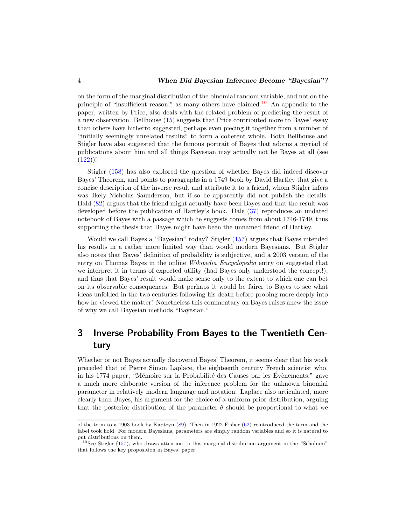<span id="page-3-1"></span>on the form of the marginal distribution of the binomial random variable, and not on the principle of "insufficient reason," as many others have claimed.[10](#page-3-0) An appendix to the paper, written by Price, also deals with the related problem of predicting the result of a new observation. Bellhouse [\(15](#page-28-2)) suggests that Price contributed more to Bayes' essay than others have hitherto suggested, perhaps even piecing it together from a number of "initially seemingly unrelated results" to form a coherent whole. Both Bellhouse and Stigler have also suggested that the famous portrait of Bayes that adorns a myriad of publications about him and all things Bayesian may actually not be Bayes at all (see  $(122))!$  $(122))!$ 

Stigler [\(158](#page-37-0)) has also explored the question of whether Bayes did indeed discover Bayes' Theorem, and points to paragraphs in a 1749 book by David Hartley that give a concise description of the inverse result and attribute it to a friend, whom Stigler infers was likely Nicholas Saunderson, but if so he apparently did not publish the details. Hald [\(82](#page-32-1)) argues that the friend might actually have been Bayes and that the result was developed before the publication of Hartley's book. Dale [\(37\)](#page-29-1) reproduces an undated notebook of Bayes with a passage which he suggests comes from about 1746-1749, thus supporting the thesis that Bayes might have been the unnamed friend of Hartley.

Would we call Bayes a "Bayesian" today? Stigler [\(157](#page-37-4)) argues that Bayes intended his results in a rather more limited way than would modern Bayesians. But Stigler also notes that Bayes' definition of probability is subjective, and a 2003 version of the entry on Thomas Bayes in the online Wikipedia Encyclopedia entry on suggested that we interpret it in terms of expected utility (had Bayes only understood the concept!), and thus that Bayes' result would make sense only to the extent to which one can bet on its observable consequences. But perhaps it would be fairer to Bayes to see what ideas unfolded in the two centuries following his death before probing more deeply into how he viewed the matter! Nonetheless this commentary on Bayes raises anew the issue of why we call Bayesian methods "Bayesian."

# 3 Inverse Probability From Bayes to the Twentieth Century

Whether or not Bayes actually discovered Bayes' Theorem, it seems clear that his work preceded that of Pierre Simon Laplace, the eighteenth century French scientist who, in his 1774 paper, "Mémoire sur la Probabilité des Causes par les Évènements," gave a much more elaborate version of the inference problem for the unknown binomial parameter in relatively modern language and notation. Laplace also articulated, more clearly than Bayes, his argument for the choice of a uniform prior distribution, arguing that the posterior distribution of the parameter  $\theta$  should be proportional to what we

of the term to a 1903 book by Kapteyn [\(89\)](#page-32-2). Then in 1922 Fisher [\(62](#page-31-1)) reintroduced the term and the label took hold. For modern Bayesians, parameters are simply random variables and so it is natural to put distributions on them.

<span id="page-3-0"></span> $10$ See Stigler [\(157\)](#page-37-4), who draws attention to this marginal distribution argument in the "Scholium" that follows the key proposition in Bayes' paper.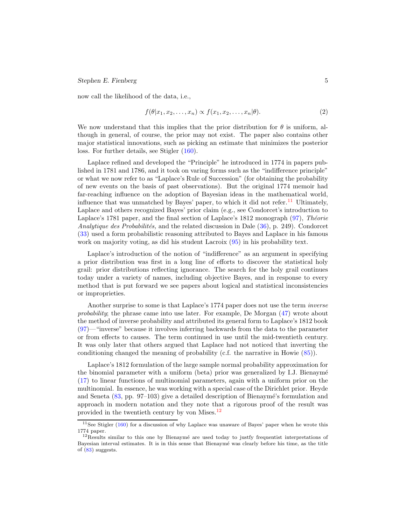<span id="page-4-2"></span>now call the likelihood of the data, i.e.,

$$
f(\theta|x_1, x_2, \dots, x_n) \propto f(x_1, x_2, \dots, x_n|\theta). \tag{2}
$$

We now understand that this implies that the prior distribution for  $\theta$  is uniform, although in general, of course, the prior may not exist. The paper also contains other major statistical innovations, such as picking an estimate that minimizes the posterior loss. For further details, see Stigler [\(160](#page-37-5)).

Laplace refined and developed the "Principle" he introduced in 1774 in papers published in 1781 and 1786, and it took on varing forms such as the "indifference principle" or what we now refer to as "Laplace's Rule of Succession" (for obtaining the probability of new events on the basis of past observations). But the original 1774 memoir had far-reaching influence on the adoption of Bayesian ideas in the mathematical world, influence that was unmatched by Bayes' paper, to which it did not refer.<sup>[11](#page-4-0)</sup> Ultimately, Laplace and others recognized Bayes' prior claim (e.g., see Condorcet's introduction to Laplace's 1781 paper, and the final section of Laplace's 1812 monograph  $(97)$  $(97)$ , *Théorie* Analytique des Probabilités, and the related discussion in Dale  $(36)$  $(36)$ , p. 249). Condorcet [\(33\)](#page-29-3) used a form probabilistic reasoning attributed to Bayes and Laplace in his famous work on majority voting, as did his student Lacroix [\(95\)](#page-33-4) in his probability text.

Laplace's introduction of the notion of "indifference" as an argument in specifying a prior distribution was first in a long line of efforts to discover the statistical holy grail: prior distributions reflecting ignorance. The search for the holy grail continues today under a variety of names, including objective Bayes, and in response to every method that is put forward we see papers about logical and statistical inconsistencies or improprieties.

Another surprise to some is that Laplace's 1774 paper does not use the term inverse probability; the phrase came into use later. For example, De Morgan [\(47\)](#page-30-0) wrote about the method of inverse probability and attributed its general form to Laplace's 1812 book [\(97\)](#page-33-3)—"inverse" because it involves inferring backwards from the data to the parameter or from effects to causes. The term continued in use until the mid-twentieth century. It was only later that others argued that Laplace had not noticed that inverting the conditioning changed the meaning of probability (c.f. the narrative in Howie [\(85](#page-32-3))).

Laplace's 1812 formulation of the large sample normal probability approximation for the binomial parameter with a uniform (beta) prior was generalized by I.J. Bienaym´e [\(17\)](#page-28-3) to linear functions of multinomial parameters, again with a uniform prior on the multinomial. In essence, he was working with a special case of the Dirichlet prior. Heyde and Seneta  $(83, pp. 97-103)$  $(83, pp. 97-103)$  give a detailed description of Bienaymé's formulation and approach in modern notation and they note that a rigorous proof of the result was provided in the twentieth century by von Mises.[12](#page-4-1)

<span id="page-4-0"></span><sup>&</sup>lt;sup>11</sup>See Stigler  $(160)$  $(160)$  for a discussion of why Laplace was unaware of Bayes' paper when he wrote this 1774 paper.

<span id="page-4-1"></span> $12$ Results similar to this one by Bienaymé are used today to justfy frequentist interpretations of Bayesian interval estimates. It is in this sense that Bienaym´e was clearly before his time, as the title of [\(83](#page-32-4)) suggests.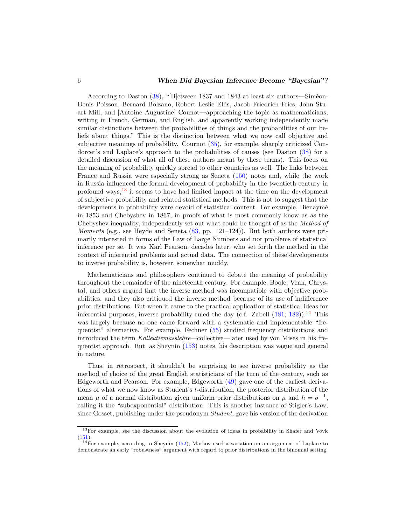#### <span id="page-5-2"></span>6 When Did Bayesian Inference Become "Bayesian"?

According to Daston  $(38)$ , "[B]etween 1837 and 1843 at least six authors—Siméon-Denis Poisson, Bernard Bolzano, Robert Leslie Ellis, Jacob Friedrich Fries, John Stuart Mill, and [Antoine Augustine] Counot—approaching the topic as mathematicians, writing in French, German, and English, and apparently working independently made similar distinctions between the probabilities of things and the probabilities of our beliefs about things." This is the distinction between what we now call objective and subjective meanings of probability. Cournot [\(35\)](#page-29-5), for example, sharply criticized Condorcet's and Laplace's approach to the probabilities of causes (see Daston [\(38\)](#page-29-4) for a detailed discussion of what all of these authors meant by these terms). This focus on the meaning of probability quickly spread to other countries as well. The links between France and Russia were especially strong as Seneta [\(150](#page-36-1)) notes and, while the work in Russia influenced the formal development of probability in the twentieth century in profound ways,[13](#page-5-0) it seems to have had limited impact at the time on the development of subjective probability and related statistical methods. This is not to suggest that the developments in probability were devoid of statistical content. For example, Bienaymé in 1853 and Chebyshev in 1867, in proofs of what is most commonly know as as the Chebyshev inequality, independently set out what could be thought of as the Method of *Moments* (e.g., see Heyde and Seneta  $(83, pp. 121-124)$  $(83, pp. 121-124)$ ). But both authors were primarily interested in forms of the Law of Large Numbers and not problems of statistical inference per se. It was Karl Pearson, decades later, who set forth the method in the context of inferential problems and actual data. The connection of these developments to inverse probability is, however, somewhat muddy.

Mathematicians and philosophers continued to debate the meaning of probability throughout the remainder of the nineteenth century. For example, Boole, Venn, Chrystal, and others argued that the inverse method was incompatible with objective probabilities, and they also critiqued the inverse method because of its use of indifference prior distributions. But when it came to the practical application of statistical ideas for inferential purposes, inverse probability ruled the day (c.f. Zabell  $(181; 182)$  $(181; 182)$  $(181; 182)$ ).<sup>[14](#page-5-1)</sup> This was largely because no one came forward with a systematic and implementable "frequentist" alternative. For example, Fechner [\(55](#page-30-1)) studied frequency distributions and introduced the term Kollektivmasslehre—collective—later used by von Mises in his frequentist approach. But, as Sheynin [\(153](#page-36-2)) notes, his description was vague and general in nature.

Thus, in retrospect, it shouldn't be surprising to see inverse probability as the method of choice of the great English statisticians of the turn of the century, such as Edgeworth and Pearson. For example, Edgeworth [\(49\)](#page-30-2) gave one of the earliest derivations of what we now know as Student's t-distribution, the posterior distribution of the mean  $\mu$  of a normal distribution given uniform prior distributions on  $\mu$  and  $h = \sigma^{-1}$ , calling it the "subexponential" distribution. This is another instance of Stigler's Law, since Gosset, publishing under the pseudonym Student, gave his version of the derivation

<span id="page-5-0"></span><sup>&</sup>lt;sup>13</sup>For example, see the discussion about the evolution of ideas in probability in Shafer and Vovk [\(151\)](#page-36-3).

<span id="page-5-1"></span> $14$ For example, according to Sheynin [\(152](#page-36-4)), Markov used a variation on an argument of Laplace to demonstrate an early "robustness" argument with regard to prior distributions in the binomial setting.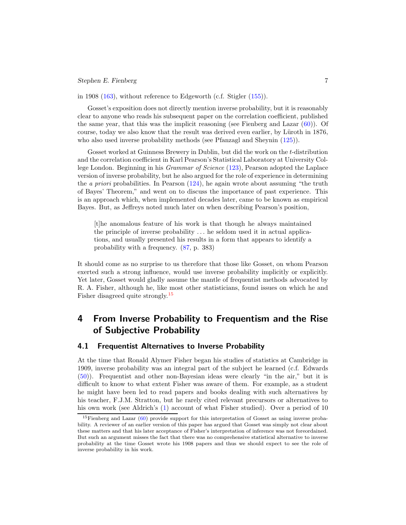<span id="page-6-1"></span>in 1908 [\(163\)](#page-37-6), without reference to Edgeworth (c.f. Stigler [\(155\)](#page-36-5)).

Gosset's exposition does not directly mention inverse probability, but it is reasonably clear to anyone who reads his subsequent paper on the correlation coefficient, published the same year, that this was the implicit reasoning (see Fienberg and Lazar  $(60)$  $(60)$ ). Of course, today we also know that the result was derived even earlier, by Lüroth in 1876, who also used inverse probability methods (see Pfanzagl and Sheynin [\(125\)](#page-34-2)).

Gosset worked at Guinness Brewery in Dublin, but did the work on the t-distribution and the correlation coefficient in Karl Pearson's Statistical Laboratory at University College London. Beginning in his Grammar of Science [\(123](#page-34-3)), Pearson adopted the Laplace version of inverse probability, but he also argued for the role of experience in determining the a priori probabilities. In Pearson [\(124\)](#page-34-4), he again wrote about assuming "the truth of Bayes' Theorem," and went on to discuss the importance of past experience. This is an approach which, when implemented decades later, came to be known as empirical Bayes. But, as Jeffreys noted much later on when describing Pearson's position,

[t]he anomalous feature of his work is that though he always maintained the principle of inverse probability . . . he seldom used it in actual applications, and usually presented his results in a form that appears to identify a probability with a frequency. [\(87,](#page-32-5) p. 383)

It should come as no surprise to us therefore that those like Gosset, on whom Pearson exerted such a strong influence, would use inverse probability implicitly or explicitly. Yet later, Gosset would gladly assume the mantle of frequentist methods advocated by R. A. Fisher, although he, like most other statisticians, found issues on which he and Fisher disagreed quite strongly.<sup>[15](#page-6-0)</sup>

# 4 From Inverse Probability to Frequentism and the Rise of Subjective Probability

#### 4.1 Frequentist Alternatives to Inverse Probability

At the time that Ronald Alymer Fisher began his studies of statistics at Cambridge in 1909, inverse probability was an integral part of the subject he learned (c.f. Edwards [\(50\)](#page-30-3)). Frequentist and other non-Bayesian ideas were clearly "in the air," but it is difficult to know to what extent Fisher was aware of them. For example, as a student he might have been led to read papers and books dealing with such alternatives by his teacher, F.J.M. Stratton, but he rarely cited relevant precursors or alternatives to his own work (see Aldrich's [\(1](#page-27-1)) account of what Fisher studied). Over a period of 10

<span id="page-6-0"></span><sup>15</sup>Fienberg and Lazar [\(60\)](#page-31-2) provide support for this interpretation of Gosset as using inverse probability. A reviewer of an earlier version of this paper has argued that Gosset was simply not clear about these matters and that his later acceptance of Fisher's interpretation of inference was not foreordained. But such an argument misses the fact that there was no comprehensive statistical alternative to inverse probability at the time Gosset wrote his 1908 papers and thus we should expect to see the role of inverse probability in his work.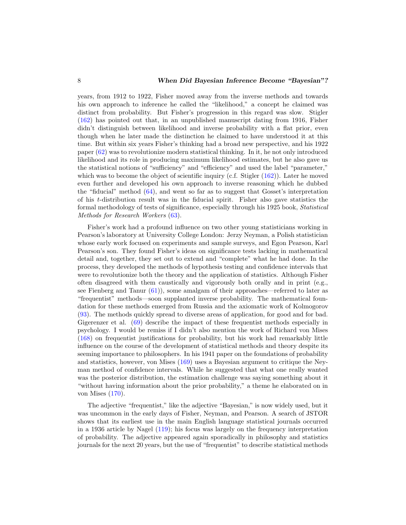#### <span id="page-7-0"></span>8 When Did Bayesian Inference Become "Bayesian"?

years, from 1912 to 1922, Fisher moved away from the inverse methods and towards his own approach to inference he called the "likelihood," a concept he claimed was distinct from probability. But Fisher's progression in this regard was slow. Stigler [\(162\)](#page-37-7) has pointed out that, in an unpublished manuscript dating from 1916, Fisher didn't distinguish between likelihood and inverse probability with a flat prior, even though when he later made the distinction he claimed to have understood it at this time. But within six years Fisher's thinking had a broad new perspective, and his 1922 paper [\(62\)](#page-31-1) was to revolutionize modern statistical thinking. In it, he not only introduced likelihood and its role in producing maximum likelihood estimates, but he also gave us the statistical notions of "sufficiency" and "efficiency" and used the label "parameter," which was to become the object of scientific inquiry (c.f. Stigler  $(162)$  $(162)$ ). Later he moved even further and developed his own approach to inverse reasoning which he dubbed the "fiducial" method [\(64](#page-31-3)), and went so far as to suggest that Gosset's interpretation of his t-distribution result was in the fiducial spirit. Fisher also gave statistics the formal methodology of tests of significance, especially through his 1925 book, Statistical Methods for Research Workers [\(63\)](#page-31-4).

Fisher's work had a profound influence on two other young statisticians working in Pearson's laboratory at University College London: Jerzy Neyman, a Polish statistician whose early work focused on experiments and sample surveys, and Egon Pearson, Karl Pearson's son. They found Fisher's ideas on significance tests lacking in mathematical detail and, together, they set out to extend and "complete" what he had done. In the process, they developed the methods of hypothesis testing and confidence intervals that were to revolutionize both the theory and the application of statistics. Although Fisher often disagreed with them caustically and vigorously both orally and in print (e.g., see Fienberg and Tanur  $(61)$ , some amalgam of their approaches—referred to later as "frequentist" methods—soon supplanted inverse probability. The mathematical foundation for these methods emerged from Russia and the axiomatic work of Kolmogorov [\(93\)](#page-33-1). The methods quickly spread to diverse areas of application, for good and for bad. Gigerenzer et al. [\(69\)](#page-31-6) describe the impact of these frequentist methods especially in psychology. I would be remiss if I didn't also mention the work of Richard von Mises [\(168\)](#page-37-8) on frequentist justifications for probability, but his work had remarkably little influence on the course of the development of statistical methods and theory despite its seeming importance to philosophers. In his 1941 paper on the foundations of probability and statistics, however, von Mises [\(169\)](#page-37-9) uses a Bayesian argument to critique the Neyman method of confidence intervals. While he suggested that what one really wanted was the posterior distribution, the estimation challenge was saying something about it "without having information about the prior probability," a theme he elaborated on in von Mises [\(170](#page-37-10)).

The adjective "frequentist," like the adjective "Bayesian," is now widely used, but it was uncommon in the early days of Fisher, Neyman, and Pearson. A search of JSTOR shows that its earliest use in the main English language statistical journals occurred in a 1936 article by Nagel [\(119](#page-34-5)); his focus was largely on the frequency interpretation of probability. The adjective appeared again sporadically in philosophy and statistics journals for the next 20 years, but the use of "frequentist" to describe statistical methods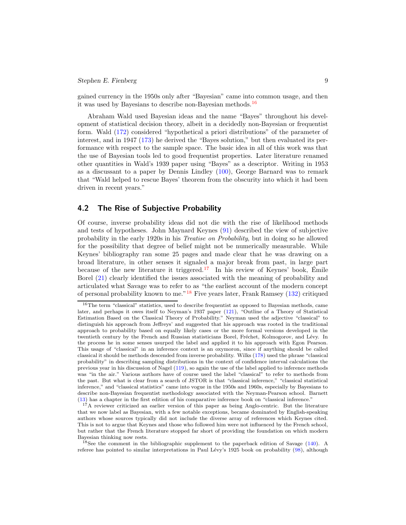<span id="page-8-3"></span>gained currency in the 1950s only after "Bayesian" came into common usage, and then it was used by Bayesians to describe non-Bayesian methods.[16](#page-8-0)

Abraham Wald used Bayesian ideas and the name "Bayes" throughout his development of statistical decision theory, albeit in a decidedly non-Bayesian or frequentist form. Wald [\(172\)](#page-38-2) considered "hypothetical a priori distributions" of the parameter of interest, and in 1947 [\(173](#page-38-3)) he derived the "Bayes solution," but then evaluated its performance with respect to the sample space. The basic idea in all of this work was that the use of Bayesian tools led to good frequentist properties. Later literature renamed other quantities in Wald's 1939 paper using "Bayes" as a descriptor. Writing in 1953 as a discussant to a paper by Dennis Lindley [\(100\)](#page-33-5), George Barnard was to remark that "Wald helped to rescue Bayes' theorem from the obscurity into which it had been driven in recent years."

#### 4.2 The Rise of Subjective Probability

Of course, inverse probability ideas did not die with the rise of likelihood methods and tests of hypotheses. John Maynard Keynes [\(91\)](#page-32-6) described the view of subjective probability in the early 1920s in his Treatise on Probability, but in doing so he allowed for the possibility that degree of belief might not be numerically measurable. While Keynes' bibliography ran some 25 pages and made clear that he was drawing on a broad literature, in other senses it signaled a major break from past, in large part because of the new literature it triggered.<sup>[17](#page-8-1)</sup> In his review of Keynes' book, Émile Borel [\(21\)](#page-28-4) clearly identified the issues associated with the meaning of probability and articulated what Savage was to refer to as "the earliest account of the modern concept of personal probability known to me."[18](#page-8-2) Five years later, Frank Ramsey [\(132\)](#page-35-1) critiqued

<span id="page-8-0"></span><sup>&</sup>lt;sup>16</sup>The term "classical" statistics, used to describe frequentist as opposed to Bayesian methods, came later, and perhaps it owes itself to Neyman's 1937 paper [\(121](#page-34-6)), "Outline of a Theory of Statistical Estimation Based on the Classical Theory of Probability." Neyman used the adjective "classical" to distinguish his approach from Jeffreys' and suggested that his approach was rooted in the traditional approach to probability based on equally likely cases or the more formal versions developed in the twentieth century by the French and Russian statisticians Borel, Fréchet, Kolmogorov, and Lévy. In the process he in some senses usurped the label and applied it to his approach with Egon Pearson. This usage of "classical" in an inference context is an oxymoron, since if anything should be called classical it should be methods descended from inverse probability. Wilks [\(178](#page-38-4)) used the phrase "classical probability" in describing sampling distributions in the context of confidence interval calculations the previous year in his discussion of Nagel [\(119\)](#page-34-5), so again the use of the label applied to inference methods was "in the air." Various authors have of course used the label "classical" to refer to methods from the past. But what is clear from a search of JSTOR is that "classical inference," "classical statistical inference," and "classical statistics" came into vogue in the 1950s and 1960s, especially by Bayesians to describe non-Bayesian frequentist methodology associated with the Neyman-Pearson school. Barnett [\(13\)](#page-28-5) has a chapter in the first edition of his comparative inference book on "classical inference."

<span id="page-8-1"></span><sup>&</sup>lt;sup>17</sup>A reviewer criticized an earlier version of this paper as being Anglo-centric. But the literature that we now label as Bayesian, with a few notable exceptions, became dominated by English-speaking authors whose sources typically did not include the diverse array of references which Keynes cited. This is not to argue that Keynes and those who followed him were not influenced by the French school, but rather that the French literature stopped far short of providing the foundation on which modern Bayesian thinking now rests.

<span id="page-8-2"></span><sup>&</sup>lt;sup>18</sup>See the comment in the bibliographic supplement to the paperback edition of Savage  $(140)$ . A referee has pointed to similar interpretations in Paul Lévy's 1925 book on probability  $(98)$  $(98)$ , although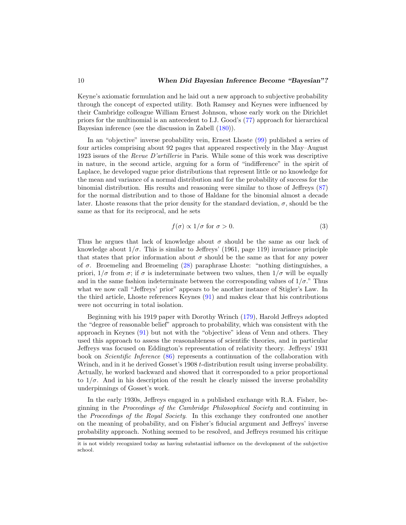<span id="page-9-0"></span>Keyne's axiomatic formulation and he laid out a new approach to subjective probability through the concept of expected utility. Both Ramsey and Keynes were influenced by their Cambridge colleague William Ernest Johnson, whose early work on the Dirichlet priors for the multinomial is an antecedent to I.J. Good's [\(77\)](#page-32-7) approach for hierarchical Bayesian inference (see the discussion in Zabell [\(180\)](#page-38-5)).

In an "objective" inverse probability vein, Ernest Lhoste [\(99\)](#page-33-7) published a series of four articles comprising about 92 pages that appeared respectively in the May–August 1923 issues of the Revue D'artillerie in Paris. While some of this work was descriptive in nature, in the second article, arguing for a form of "indifference" in the spirit of Laplace, he developed vague prior distributions that represent little or no knowledge for the mean and variance of a normal distribution and for the probability of success for the binomial distribution. His results and reasoning were similar to those of Jeffreys [\(87](#page-32-5)) for the normal distribution and to those of Haldane for the binomial almost a decade later. Lhoste reasons that the prior density for the standard deviation,  $\sigma$ , should be the same as that for its reciprocal, and he sets

$$
f(\sigma) \propto 1/\sigma \text{ for } \sigma > 0.
$$
 (3)

Thus he argues that lack of knowledge about  $\sigma$  should be the same as our lack of knowledge about  $1/\sigma$ . This is similar to Jeffreys' (1961, page 119) invariance principle that states that prior information about  $\sigma$  should be the same as that for any power of  $\sigma$ . Broemeling and Broemeling [\(28\)](#page-29-6) paraphrase Lhoste: "nothing distinguishes, a priori,  $1/\sigma$  from  $\sigma$ ; if  $\sigma$  is indeterminate between two values, then  $1/\sigma$  will be equally and in the same fashion indeterminate between the corresponding values of  $1/\sigma$ ." Thus what we now call "Jeffreys' prior" appears to be another instance of Stigler's Law. In the third article, Lhoste references Keynes [\(91\)](#page-32-6) and makes clear that his contributions were not occurring in total isolation.

Beginning with his 1919 paper with Dorothy Wrinch [\(179\)](#page-38-6), Harold Jeffreys adopted the "degree of reasonable belief" approach to probability, which was consistent with the approach in Keynes [\(91\)](#page-32-6) but not with the "objective" ideas of Venn and others. They used this approach to assess the reasonableness of scientific theories, and in particular Jeffreys was focused on Eddington's representation of relativity theory. Jeffreys' 1931 book on Scientific Inference [\(86\)](#page-32-8) represents a continuation of the collaboration with Wrinch, and in it he derived Gosset's 1908 t-distribution result using inverse probability. Actually, he worked backward and showed that it corresponded to a prior proportional to  $1/\sigma$ . And in his description of the result he clearly missed the inverse probability underpinnings of Gosset's work.

In the early 1930s, Jeffreys engaged in a published exchange with R.A. Fisher, beginning in the Proceedings of the Cambridge Philosophical Society and continuing in the Proceedings of the Royal Society. In this exchange they confronted one another on the meaning of probability, and on Fisher's fiducial argument and Jeffreys' inverse probability approach. Nothing seemed to be resolved, and Jeffreys resumed his critique

it is not widely recognized today as having substantial influence on the development of the subjective school.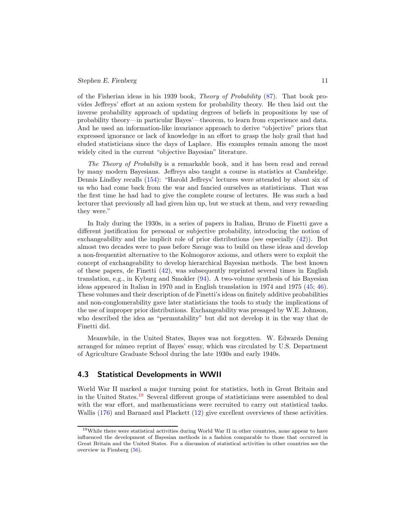<span id="page-10-1"></span>of the Fisherian ideas in his 1939 book, Theory of Probability [\(87\)](#page-32-5). That book provides Jeffreys' effort at an axiom system for probability theory. He then laid out the inverse probability approach of updating degrees of beliefs in propositions by use of probability theory—in particular Bayes'—theorem, to learn from experience and data. And he used an information-like invariance approach to derive "objective" priors that expressed ignorance or lack of knowledge in an effort to grasp the holy grail that had eluded statisticians since the days of Laplace. His examples remain among the most widely cited in the current "objective Bayesian" literature.

The Theory of Probabilty is a remarkable book, and it has been read and reread by many modern Bayesians. Jeffreys also taught a course in statistics at Cambridge. Dennis Lindley recalls [\(154\)](#page-36-6): "Harold Jeffreys' lectures were attended by about six of us who had come back from the war and fancied ourselves as statisticians. That was the first time he had had to give the complete course of lectures. He was such a bad lecturer that previously all had given him up, but we stuck at them, and very rewarding they were."

In Italy during the 1930s, in a series of papers in Italian, Bruno de Finetti gave a different justification for personal or subjective probability, introducing the notion of exchangeability and the implicit role of prior distributions (see especially [\(42](#page-30-4))). But almost two decades were to pass before Savage was to build on these ideas and develop a non-frequentist alternative to the Kolmogorov axioms, and others were to exploit the concept of exchangeability to develop hierarchical Bayesian methods. The best known of these papers, de Finetti  $(42)$ , was subsequently reprinted several times in English translation, e.g., in Kyburg and Smokler [\(94\)](#page-33-8). A two-volume synthesis of his Bayesian ideas appeared in Italian in 1970 and in English translation in 1974 and 1975 [\(45](#page-30-5); [46\)](#page-30-6). These volumes and their description of de Finetti's ideas on finitely additive probabilities and non-conglomerability gave later statisticians the tools to study the implications of the use of improper prior distributions. Exchangeability was presaged by W.E. Johnson, who described the idea as "permutability" but did not develop it in the way that de Finetti did.

Meanwhile, in the United States, Bayes was not forgotten. W. Edwards Deming arranged for mimeo reprint of Bayes' essay, which was circulated by U.S. Department of Agriculture Graduate School during the late 1930s and early 1940s.

#### 4.3 Statistical Developments in WWII

World War II marked a major turning point for statistics, both in Great Britain and in the United States.<sup>[19](#page-10-0)</sup> Several different groups of statisticians were assembled to deal with the war effort, and mathematicians were recruited to carry out statistical tasks. Wallis [\(176\)](#page-38-7) and Barnard and Plackett [\(12](#page-28-6)) give excellent overviews of these activities.

<span id="page-10-0"></span><sup>&</sup>lt;sup>19</sup>While there were statistical activities during World War II in other countries, none appear to have influenced the development of Bayesian methods in a fashion comparable to those that occurred in Great Britain and the United States. For a discussion of statistical activities in other countries see the overview in Fienberg [\(56\)](#page-30-7).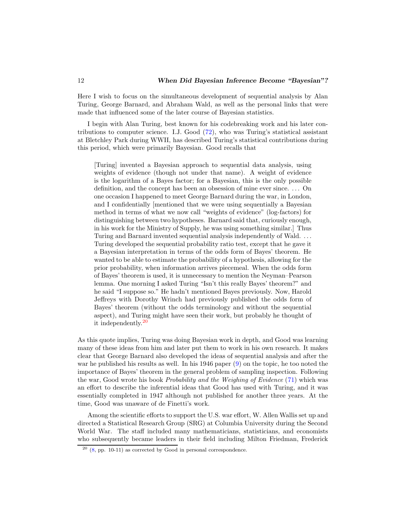<span id="page-11-1"></span>Here I wish to focus on the simultaneous development of sequential analysis by Alan Turing, George Barnard, and Abraham Wald, as well as the personal links that were made that influenced some of the later course of Bayesian statistics.

I begin with Alan Turing, best known for his codebreaking work and his later contributions to computer science. I.J. Good [\(72\)](#page-31-7), who was Turing's statistical assistant at Bletchley Park during WWII, has described Turing's statistical contributions during this period, which were primarily Bayesian. Good recalls that

[Turing] invented a Bayesian approach to sequential data analysis, using weights of evidence (though not under that name). A weight of evidence is the logarithm of a Bayes factor; for a Bayesian, this is the only possible definition, and the concept has been an obsession of mine ever since. . . . On one occasion I happened to meet George Barnard during the war, in London, and I confidentially [mentioned that we were using sequentially a Bayesian method in terms of what we now call "weights of evidence" (log-factors) for distinguishing between two hypotheses. Barnard said that, curiously enough, in his work for the Ministry of Supply, he was using something similar.] Thus Turing and Barnard invented sequential analysis independently of Wald. . . . Turing developed the sequential probability ratio test, except that he gave it a Bayesian interpretation in terms of the odds form of Bayes' theorem. He wanted to be able to estimate the probability of a hypothesis, allowing for the prior probability, when information arrives piecemeal. When the odds form of Bayes' theorem is used, it is unnecessary to mention the Neyman–Pearson lemma. One morning I asked Turing "Isn't this really Bayes' theorem?" and he said "I suppose so." He hadn't mentioned Bayes previously. Now, Harold Jeffreys with Dorothy Wrinch had previously published the odds form of Bayes' theorem (without the odds terminology and without the sequential aspect), and Turing might have seen their work, but probably he thought of it independently. [20](#page-11-0)

As this quote implies, Turing was doing Bayesian work in depth, and Good was learning many of these ideas from him and later put them to work in his own research. It makes clear that George Barnard also developed the ideas of sequential analysis and after the war he published his results as well. In his 1946 paper [\(9](#page-27-2)) on the topic, he too noted the importance of Bayes' theorem in the general problem of sampling inspection. Following the war, Good wrote his book *Probability and the Weighing of Evidence* [\(71](#page-31-8)) which was an effort to describe the inferential ideas that Good has used with Turing, and it was essentially completed in 1947 although not published for another three years. At the time, Good was unaware of de Finetti's work.

Among the scientific efforts to support the U.S. war effort, W. Allen Wallis set up and directed a Statistical Research Group (SRG) at Columbia University during the Second World War. The staff included many mathematicians, statisticians, and economists who subsequently became leaders in their field including Milton Friedman, Frederick

<span id="page-11-0"></span> $20$  [\(8,](#page-27-3) pp. 10-11) as corrected by Good in personal correspondence.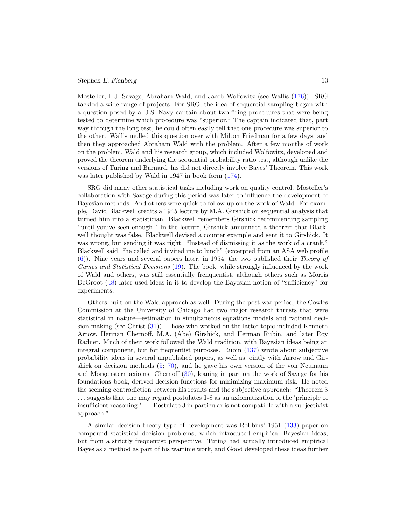<span id="page-12-0"></span>Mosteller, L.J. Savage, Abraham Wald, and Jacob Wolfowitz (see Wallis [\(176\)](#page-38-7)). SRG tackled a wide range of projects. For SRG, the idea of sequential sampling began with a question posed by a U.S. Navy captain about two firing procedures that were being tested to determine which procedure was "superior." The captain indicated that, part way through the long test, he could often easily tell that one procedure was superior to the other. Wallis mulled this question over with Milton Friedman for a few days, and then they approached Abraham Wald with the problem. After a few months of work on the problem, Wald and his research group, which included Wolfowitz, developed and proved the theorem underlying the sequential probability ratio test, although unlike the versions of Turing and Barnard, his did not directly involve Bayes' Theorem. This work was later published by Wald in 1947 in book form [\(174\)](#page-38-8).

SRG did many other statistical tasks including work on quality control. Mosteller's collaboration with Savage during this period was later to influence the development of Bayesian methods. And others were quick to follow up on the work of Wald. For example, David Blackwell credits a 1945 lecture by M.A. Girshick on sequential analysis that turned him into a statistician. Blackwell remembers Girshick recommending sampling "until you've seen enough." In the lecture, Girshick announced a theorem that Blackwell thought was false. Blackwell devised a counter example and sent it to Girshick. It was wrong, but sending it was right. "Instead of dismissing it as the work of a crank," Blackwell said, "he called and invited me to lunch" (excerpted from an ASA web profile [\(6\)](#page-27-4)). Nine years and several papers later, in 1954, the two published their Theory of Games and Statistical Decisions [\(19](#page-28-7)). The book, while strongly influenced by the work of Wald and others, was still essentially frenquentist, although others such as Morris DeGroot [\(48](#page-30-8)) later used ideas in it to develop the Bayesian notion of "sufficiency" for experiments.

Others built on the Wald approach as well. During the post war period, the Cowles Commission at the University of Chicago had two major research thrusts that were statistical in nature—estimation in simultaneous equations models and rational decision making (see Christ  $(31)$ ). Those who worked on the latter topic included Kenneth Arrow, Herman Chernoff, M.A. (Abe) Girshick, and Herman Rubin, and later Roy Radner. Much of their work followed the Wald tradition, with Bayesian ideas being an integral component, but for frequentist purposes. Rubin [\(137](#page-35-3)) wrote about subjective probability ideas in several unpublished papers, as well as jointly with Arrow and Girshick on decision methods [\(5;](#page-27-5) [70\)](#page-31-9), and he gave his own version of the von Neumann and Morgenstern axioms. Chernoff [\(30\)](#page-29-8), leaning in part on the work of Savage for his foundations book, derived decision functions for minimizing maximum risk. He noted the seeming contradiction between his results and the subjective approach: "Theorem 3 . . . suggests that one may regard postulates 1-8 as an axiomatization of the 'principle of insufficient reasoning.' . . . Postulate 3 in particular is not compatible with a subjectivist approach."

A similar decision-theory type of development was Robbins' 1951 [\(133\)](#page-35-4) paper on compound statistical decision problems, which introduced empirical Bayesian ideas, but from a strictly frequentist perspective. Turing had actually introduced empirical Bayes as a method as part of his wartime work, and Good developed these ideas further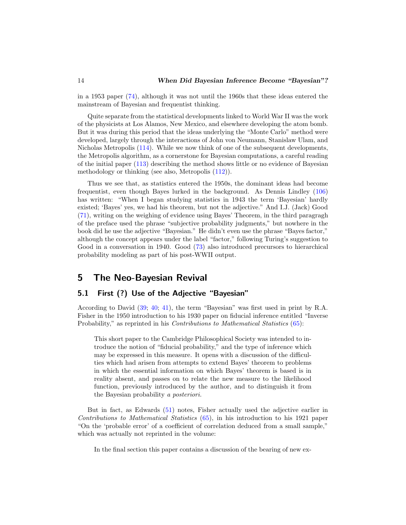<span id="page-13-0"></span>in a 1953 paper [\(74\)](#page-31-10), although it was not until the 1960s that these ideas entered the mainstream of Bayesian and frequentist thinking.

Quite separate from the statistical developments linked to World War II was the work of the physicists at Los Alamos, New Mexico, and elsewhere developing the atom bomb. But it was during this period that the ideas underlying the "Monte Carlo" method were developed, largely through the interactions of John von Neumann, Stanislaw Ulam, and Nicholas Metropolis [\(114](#page-34-7)). While we now think of one of the subsequent developments, the Metropolis algorithm, as a cornerstone for Bayesian computations, a careful reading of the initial paper [\(113\)](#page-34-8) describing the method shows little or no evidence of Bayesian methodology or thinking (see also, Metropolis [\(112\)](#page-34-9)).

Thus we see that, as statistics entered the 1950s, the dominant ideas had become frequentist, even though Bayes lurked in the background. As Dennis Lindley [\(106](#page-33-0)) has written: "When I began studying statistics in 1943 the term 'Bayesian' hardly existed; 'Bayes' yes, we had his theorem, but not the adjective." And I.J. (Jack) Good [\(71\)](#page-31-8), writing on the weighing of evidence using Bayes' Theorem, in the third paragragh of the preface used the phrase "subjective probability judgments," but nowhere in the book did he use the adjective "Bayesian." He didn't even use the phrase "Bayes factor," although the concept appears under the label "factor," following Turing's suggestion to Good in a conversation in 1940. Good [\(73\)](#page-31-11) also introduced precursors to hierarchical probability modeling as part of his post-WWII output.

### 5 The Neo-Bayesian Revival

#### 5.1 First (?) Use of the Adjective "Bayesian"

According to David [\(39](#page-29-9); [40;](#page-29-10) [41\)](#page-29-2), the term "Bayesian" was first used in print by R.A. Fisher in the 1950 introduction to his 1930 paper on fiducial inference entitled "Inverse Probability," as reprinted in his *Contributions to Mathematical Statistics* [\(65\)](#page-31-12):

This short paper to the Cambridge Philosophical Society was intended to introduce the notion of "fiducial probability," and the type of inference which may be expressed in this measure. It opens with a discussion of the difficulties which had arisen from attempts to extend Bayes' theorem to problems in which the essential information on which Bayes' theorem is based is in reality absent, and passes on to relate the new measure to the likelihood function, previously introduced by the author, and to distinguish it from the Bayesian probability a posteriori.

But in fact, as Edwards [\(51\)](#page-30-9) notes, Fisher actually used the adjective earlier in Contributions to Mathematical Statistics [\(65\)](#page-31-12), in his introduction to his 1921 paper "On the 'probable error' of a coefficient of correlation deduced from a small sample," which was actually not reprinted in the volume:

In the final section this paper contains a discussion of the bearing of new ex-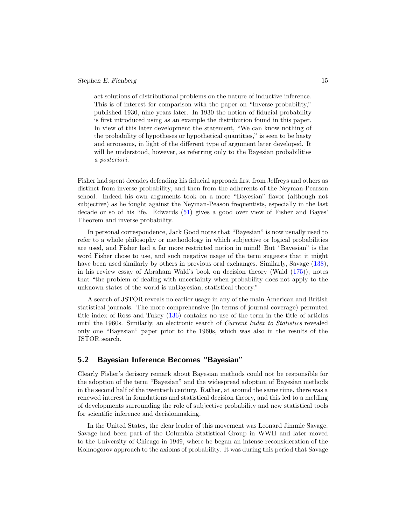<span id="page-14-0"></span>act solutions of distributional problems on the nature of inductive inference. This is of interest for comparison with the paper on "Inverse probability," published 1930, nine years later. In 1930 the notion of fiducial probability is first introduced using as an example the distribution found in this paper. In view of this later development the statement, "We can know nothing of the probability of hypotheses or hypothetical quantities," is seen to be hasty and erroneous, in light of the different type of argument later developed. It will be understood, however, as referring only to the Bayesian probabilities a posteriori.

Fisher had spent decades defending his fiducial approach first from Jeffreys and others as distinct from inverse probability, and then from the adherents of the Neyman-Pearson school. Indeed his own arguments took on a more "Bayesian" flavor (although not subjective) as he fought against the Neyman-Peason frequentists, especially in the last decade or so of his life. Edwards [\(51\)](#page-30-9) gives a good over view of Fisher and Bayes' Theorem and inverse probability.

In personal correspondence, Jack Good notes that "Bayesian" is now usually used to refer to a whole philosophy or methodology in which subjective or logical probabilities are used, and Fisher had a far more restricted notion in mind! But "Bayesian" is the word Fisher chose to use, and such negative usage of the term suggests that it might have been used similarly by others in previous oral exchanges. Similarly, Savage [\(138\)](#page-35-5), in his review essay of Abraham Wald's book on decision theory (Wald [\(175](#page-38-9))), notes that "the problem of dealing with uncertainty when probability does not apply to the unknown states of the world is unBayesian, statistical theory."

A search of JSTOR reveals no earlier usage in any of the main American and British statistical journals. The more comprehensive (in terms of journal coverage) permuted title index of Ross and Tukey [\(136\)](#page-35-6) contains no use of the term in the title of articles until the 1960s. Similarly, an electronic search of Current Index to Statistics revealed only one "Bayesian" paper prior to the 1960s, which was also in the results of the JSTOR search.

#### 5.2 Bayesian Inference Becomes "Bayesian"

Clearly Fisher's derisory remark about Bayesian methods could not be responsible for the adoption of the term "Bayesian" and the widespread adoption of Bayesian methods in the second half of the twentieth century. Rather, at around the same time, there was a renewed interest in foundations and statistical decision theory, and this led to a melding of developments surrounding the role of subjective probability and new statistical tools for scientific inference and decisionmaking.

In the United States, the clear leader of this movement was Leonard Jimmie Savage. Savage had been part of the Columbia Statistical Group in WWII and later moved to the University of Chicago in 1949, where he began an intense reconsideration of the Kolmogorov approach to the axioms of probability. It was during this period that Savage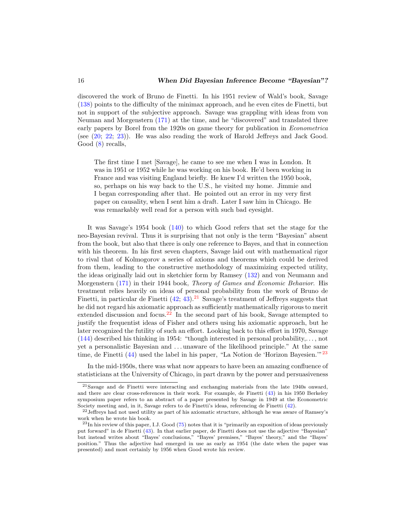<span id="page-15-3"></span>discovered the work of Bruno de Finetti. In his 1951 review of Wald's book, Savage [\(138\)](#page-35-5) points to the difficulty of the minimax approach, and he even cites de Finetti, but not in support of the subjective approach. Savage was grappling with ideas from von Neuman and Morgenstern [\(171\)](#page-38-10) at the time, and he "discovered" and translated three early papers by Borel from the 1920s on game theory for publication in Econometrica (see [\(20;](#page-28-8) [22](#page-28-9); [23\)](#page-28-10)). He was also reading the work of Harold Jeffreys and Jack Good. Good [\(8](#page-27-3)) recalls,

The first time I met [Savage], he came to see me when I was in London. It was in 1951 or 1952 while he was working on his book. He'd been working in France and was visiting England briefly. He knew I'd written the 1950 book, so, perhaps on his way back to the U.S., he visited my home. Jimmie and I began corresponding after that. He pointed out an error in my very first paper on causality, when I sent him a draft. Later I saw him in Chicago. He was remarkably well read for a person with such bad eyesight.

It was Savage's 1954 book [\(140](#page-35-2)) to which Good refers that set the stage for the neo-Bayesian revival. Thus it is surprising that not only is the term "Bayesian" absent from the book, but also that there is only one reference to Bayes, and that in connection with his theorem. In his first seven chapters, Savage laid out with mathematical rigor to rival that of Kolmogorov a series of axioms and theorems which could be derived from them, leading to the constructive methodology of maximizing expected utility, the ideas originally laid out in sketchier form by Ramsey [\(132\)](#page-35-1) and von Neumann and Morgenstern [\(171](#page-38-10)) in their 1944 book, Theory of Games and Economic Behavior. His treatment relies heavily on ideas of personal probability from the work of Bruno de Finetti, in particular de Finetti  $(42; 43)$  $(42; 43)$  $(42; 43)$ .<sup>[21](#page-15-0)</sup> Savage's treatment of Jeffreys suggests that he did not regard his axiomatic approach as sufficiently mathematically rigorous to merit extended discussion and focus.<sup>[22](#page-15-1)</sup> In the second part of his book, Savage attempted to justify the frequentist ideas of Fisher and others using his axiomatic approach, but he later recognized the futility of such an effort. Looking back to this effort in 1970, Savage  $(144)$  described his thinking in 1954: "though interested in personal probability,..., not yet a personalistic Bayesian and . . . unaware of the likelihood principle." At the same time, de Finetti [\(44\)](#page-30-11) used the label in his paper, "La Notion de 'Horizon Bayesien."<sup>[23](#page-15-2)</sup>

In the mid-1950s, there was what now appears to have been an amazing confluence of statisticians at the University of Chicago, in part drawn by the power and persuasiveness

<span id="page-15-0"></span> $^{21}$ Savage and de Finetti were interacting and exchanging materials from the late 1940s onward, and there are clear cross-references in their work. For example, de Finetti [\(43](#page-30-10)) in his 1950 Berkeley symposium paper refers to an abstract of a paper presented by Savage in 1949 at the Econometric Society meeting and, in it, Savage refers to de Finetti's ideas, referencing de Finetti [\(42\)](#page-30-4).

<span id="page-15-1"></span> $^{22}$  Jeffreys had not used utility as part of his axiomatic structure, although he was aware of Ramsey's work when he wrote his book.

<span id="page-15-2"></span> $^{23}$ In his review of this paper, I.J. Good  $(75)$  $(75)$  notes that it is "primarily an exposition of ideas previously put forward" in de Finetti [\(43\)](#page-30-10). In that earlier paper, de Finetti does not use the adjective "Bayesian" but instead writes about "Bayes' conclusions," "Bayes' premises," "Bayes' theory," and the "Bayes' position." Thus the adjective had emerged in use as early as 1954 (the date when the paper was presented) and most certainly by 1956 when Good wrote his review.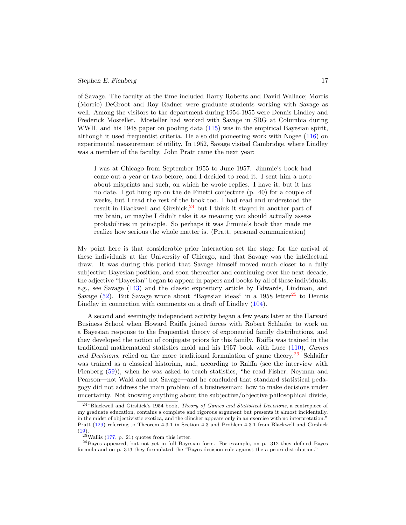<span id="page-16-3"></span>of Savage. The faculty at the time included Harry Roberts and David Wallace; Morris (Morrie) DeGroot and Roy Radner were graduate students working with Savage as well. Among the visitors to the department during 1954-1955 were Dennis Lindley and Frederick Mosteller. Mosteller had worked with Savage in SRG at Columbia during WWII, and his 1948 paper on pooling data [\(115\)](#page-34-10) was in the empirical Bayesian spirit, although it used frequentist criteria. He also did pioneering work with Nogee [\(116](#page-34-11)) on experimental measurement of utility. In 1952, Savage visited Cambridge, where Lindley was a member of the faculty. John Pratt came the next year:

I was at Chicago from September 1955 to June 1957. Jimmie's book had come out a year or two before, and I decided to read it. I sent him a note about misprints and such, on which he wrote replies. I have it, but it has no date. I got hung up on the de Finetti conjecture (p. 40) for a couple of weeks, but I read the rest of the book too. I had read and understood the result in Blackwell and Girshick,<sup>[24](#page-16-0)</sup> but I think it stayed in another part of my brain, or maybe I didn't take it as meaning you should actually assess probabilities in principle. So perhaps it was Jimmie's book that made me realize how serious the whole matter is. (Pratt, personal communication)

My point here is that considerable prior interaction set the stage for the arrival of these individuals at the University of Chicago, and that Savage was the intellectual draw. It was during this period that Savage himself moved much closer to a fully subjective Bayesian position, and soon thereafter and continuing over the next decade, the adjective "Bayesian" began to appear in papers and books by all of these individuals, e.g., see Savage [\(143](#page-36-8)) and the classic expository article by Edwards, Lindman, and Savage  $(52)$ . But Savage wrote about "Bayesian ideas" in a 1958 letter<sup>[25](#page-16-1)</sup> to Dennis Lindley in connection with comments on a draft of Lindley [\(104\)](#page-33-9).

A second and seemingly independent activity began a few years later at the Harvard Business School when Howard Raiffa joined forces with Robert Schlaifer to work on a Bayesian response to the frequentist theory of exponential family distributions, and they developed the notion of conjugate priors for this family. Raiffa was trained in the traditional mathematical statistics mold and his 1957 book with Luce [\(110](#page-33-10)), Games and Decisions, relied on the more traditional formulation of game theory.<sup>[26](#page-16-2)</sup> Schlaifer was trained as a classical historian, and, according to Raiffa (see the interview with Fienberg [\(59](#page-31-13))), when he was asked to teach statistics, "he read Fisher, Neyman and Pearson—not Wald and not Savage—and he concluded that standard statistical pedagogy did not address the main problem of a businessman: how to make decisions under uncertainty. Not knowing anything about the subjective/objective philosophical divide,

<span id="page-16-0"></span><sup>24</sup>"Blackwell and Girshick's 1954 book, Theory of Games and Statistical Decisions, a centrepiece of my graduate education, contains a complete and rigorous argument but presents it almost incidentally, in the midst of objectivistic exotica, and the clincher appears only in an exercise with no interpretation." Pratt [\(129](#page-35-7)) referring to Theorem 4.3.1 in Section 4.3 and Problem 4.3.1 from Blackwell and Girshick  $(19)$ .<br><sup>25</sup>Wallis [\(177,](#page-38-11) p. 21) quotes from this letter.

<span id="page-16-2"></span><span id="page-16-1"></span><sup>26</sup>Bayes appeared, but not yet in full Bayesian form. For example, on p. 312 they defined Bayes formula and on p. 313 they formulated the "Bayes decision rule against the a priori distribution."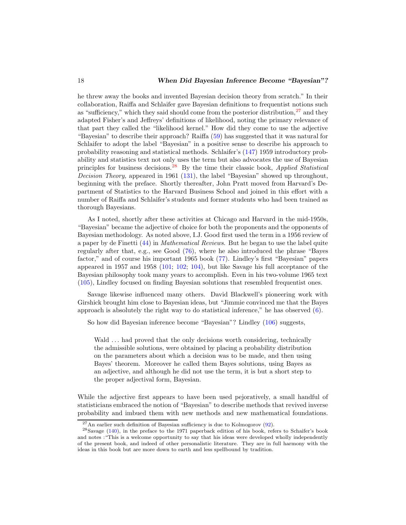<span id="page-17-2"></span>he threw away the books and invented Bayesian decision theory from scratch." In their collaboration, Raiffa and Schlaifer gave Bayesian definitions to frequentist notions such as "sufficiency," which they said should come from the posterior distribution, $27$  and they adapted Fisher's and Jeffreys' definitions of likelihood, noting the primary relevance of that part they called the "likelihood kernel." How did they come to use the adjective "Bayesian" to describe their approach? Raiffa [\(59\)](#page-31-13) has suggested that it was natural for Schlaifer to adopt the label "Bayesian" in a positive sense to describe his approach to probability reasoning and statistical methods. Schlaifer's [\(147\)](#page-36-9) 1959 introductory probability and statistics text not only uses the term but also advocates the use of Bayesian principles for business decisions.<sup>[28](#page-17-1)</sup> By the time their classic book, *Applied Statistical* Decision Theory, appeared in 1961 [\(131\)](#page-35-8), the label "Bayesian" showed up throughout, beginning with the preface. Shortly thereafter, John Pratt moved from Harvard's Department of Statistics to the Harvard Business School and joined in this effort with a number of Raiffa and Schlaifer's students and former students who had been trained as thorough Bayesians.

As I noted, shortly after these activities at Chicago and Harvard in the mid-1950s, "Bayesian" became the adjective of choice for both the proponents and the opponents of Bayesian methodology. As noted above, I.J. Good first used the term in a 1956 review of a paper by de Finetti [\(44](#page-30-11)) in Mathematical Reviews. But he began to use the label quite regularly after that, e.g., see Good [\(76](#page-32-10)), where he also introduced the phrase "Bayes factor," and of course his important 1965 book [\(77\)](#page-32-7). Lindley's first "Bayesian" papers appeared in 1957 and 1958 [\(101;](#page-33-11) [102;](#page-33-12) [104\)](#page-33-9), but like Savage his full acceptance of the Bayesian philosophy took many years to accomplish. Even in his two-volume 1965 text [\(105\)](#page-33-13), Lindley focused on finding Bayesian solutions that resembled frequentist ones.

Savage likewise influenced many others. David Blackwell's pioneering work with Girshick brought him close to Bayesian ideas, but "Jimmie convinced me that the Bayes approach is absolutely the right way to do statistical inference," he has observed  $(6)$ .

So how did Bayesian inference become "Bayesian"? Lindley [\(106](#page-33-0)) suggests,

Wald ... had proved that the only decisions worth considering, technically the admissible solutions, were obtained by placing a probability distribution on the parameters about which a decision was to be made, and then using Bayes' theorem. Moreover he called them Bayes solutions, using Bayes as an adjective, and although he did not use the term, it is but a short step to the proper adjectival form, Bayesian.

While the adjective first appears to have been used pejoratively, a small handful of statisticians embraced the notion of "Bayesian" to describe methods that revived inverse probability and imbued them with new methods and new mathematical foundations.

 $\overline{^{27}$ An earlier such definition of Bayesian sufficiency is due to Kolmogorov [\(92\)](#page-32-11).

<span id="page-17-1"></span><span id="page-17-0"></span><sup>28</sup>Savage [\(140](#page-35-2)), in the preface to the 1971 paperback edition of his book, refers to Schaifer's book and notes :"This is a welcome opportunity to say that his ideas were developed wholly independently of the present book, and indeed of other personalistic literature. They are in full harmony with the ideas in this book but are more down to earth and less spellbound by tradition.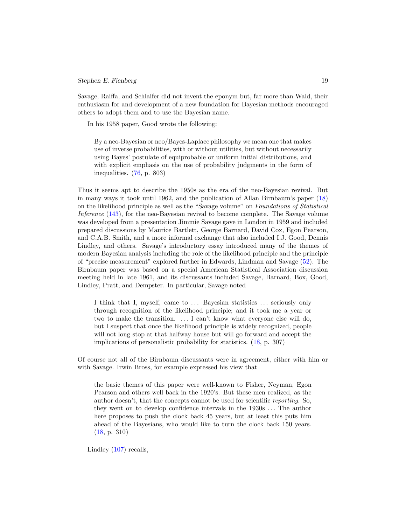<span id="page-18-0"></span>Savage, Raiffa, and Schlaifer did not invent the eponym but, far more than Wald, their enthusiasm for and development of a new foundation for Bayesian methods encouraged others to adopt them and to use the Bayesian name.

In his 1958 paper, Good wrote the following:

By a neo-Bayesian or neo/Bayes-Laplace philosophy we mean one that makes use of inverse probabilities, with or without utilities, but without necessarily using Bayes' postulate of equiprobable or uniform initial distributions, and with explicit emphasis on the use of probability judgments in the form of inequalities. [\(76,](#page-32-10) p. 803)

Thus it seems apt to describe the 1950s as the era of the neo-Bayesian revival. But in many ways it took until 1962, and the publication of Allan Birnbaum's paper [\(18](#page-28-11)) on the likelihood principle as well as the "Savage volume" on Foundations of Statistical Inference [\(143](#page-36-8)), for the neo-Bayesian revival to become complete. The Savage volume was developed from a presentation Jimmie Savage gave in London in 1959 and included prepared discussions by Maurice Bartlett, George Barnard, David Cox, Egon Pearson, and C.A.B. Smith, and a more informal exchange that also included I.J. Good, Dennis Lindley, and others. Savage's introductory essay introduced many of the themes of modern Bayesian analysis including the role of the likelihood principle and the principle of "precise measurement" explored further in Edwards, Lindman and Savage [\(52\)](#page-30-12). The Birnbaum paper was based on a special American Statistical Association discussion meeting held in late 1961, and its discussants included Savage, Barnard, Box, Good, Lindley, Pratt, and Dempster. In particular, Savage noted

I think that I, myself, came to ... Bayesian statistics ... seriously only through recognition of the likelihood principle; and it took me a year or two to make the transition. . . . I can't know what everyone else will do, but I suspect that once the likelihood principle is widely recognized, people will not long stop at that halfway house but will go forward and accept the implications of personalistic probability for statistics. [\(18](#page-28-11), p. 307)

Of course not all of the Birnbaum discussants were in agreement, either with him or with Savage. Irwin Bross, for example expressed his view that

the basic themes of this paper were well-known to Fisher, Neyman, Egon Pearson and others well back in the 1920's. But these men realized, as the author doesn't, that the concepts cannot be used for scientific reporting. So, they went on to develop confidence intervals in the 1930s ... The author here proposes to push the clock back 45 years, but at least this puts him ahead of the Bayesians, who would like to turn the clock back 150 years. [\(18,](#page-28-11) p. 310)

Lindley [\(107\)](#page-33-14) recalls,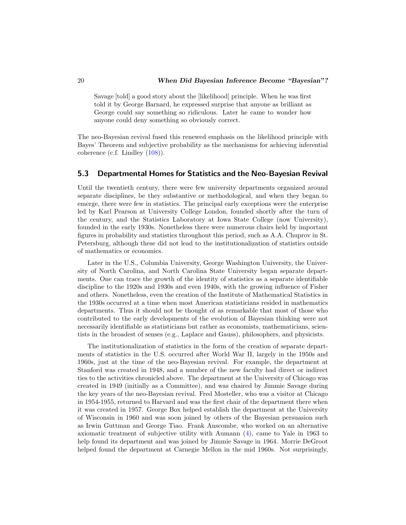<span id="page-19-0"></span>Savage [told] a good story about the [likelihood] principle. When he was first told it by George Barnard, he expressed surprise that anyone as brilliant as George could say something so ridiculous. Later he came to wonder how anyone could deny something so obviously correct.

The neo-Bayesian revival fused this renewed emphasis on the likelihood principle with Bayes' Theorem and subjective probability as the mechanisms for achieving inferential coherence (c.f. Lindley [\(108\)](#page-33-15)).

#### 5.3 Departmental Homes for Statistics and the Neo-Bayesian Revival

Until the twentieth century, there were few university departments organized around separate disciplines, be they substantive or methodological, and when they began to emerge, there were few in statistics. The principal early exceptions were the enterprise led by Karl Pearson at University College London, founded shortly after the turn of the century, and the Statistics Laboratory at Iowa State College (now University), founded in the early 1930s. Nonetheless there were numerous chairs held by important figures in probability and statistics throughout this period, such as A.A. Chuprov in St. Petersburg, although these did not lead to the institutionalization of statistics outside of mathematics or economics.

Later in the U.S., Columbia University, George Washington University, the University of North Carolina, and North Carolina State University began separate departments. One can trace the growth of the identity of statistics as a separate identifiable discipline to the 1920s and 1930s and even 1940s, with the growing influence of Fisher and others. Nonetheless, even the creation of the Institute of Mathematical Statistics in the 1930s occurred at a time when most American statisticians resided in mathematics departments. Thus it should not be thought of as remarkable that most of those who contributed to the early developments of the evolution of Bayesian thinking were not necessarily identifiable as statisticians but rather as economists, mathematicians, scientists in the broadest of senses (e.g., Laplace and Gauss), philosophers, and physicists.

The institutionalization of statistics in the form of the creation of separate departments of statistics in the U.S. occurred after World War II, largely in the 1950s and 1960s, just at the time of the neo-Bayesian revival. For example, the department at Stanford was created in 1948, and a number of the new faculty had direct or indirect ties to the activities chronicled above. The department at the University of Chicago was created in 1949 (initially as a Committee), and was chaired by Jimmie Savage during the key years of the neo-Bayesian revival. Fred Mosteller, who was a visitor at Chicago in 1954-1955, returned to Harvard and was the first chair of the department there when it was created in 1957. George Box helped establish the department at the University of Wisconsin in 1960 and was soon joined by others of the Bayesian persuasion such as Irwin Guttman and George Tiao. Frank Anscombe, who worked on an alternative axiomatic treatment of subjective utility with Aumann [\(4\)](#page-27-6), came to Yale in 1963 to help found its department and was joined by Jimmie Savage in 1964. Morrie DeGroot helped found the department at Carnegie Mellon in the mid 1960s. Not surprisingly,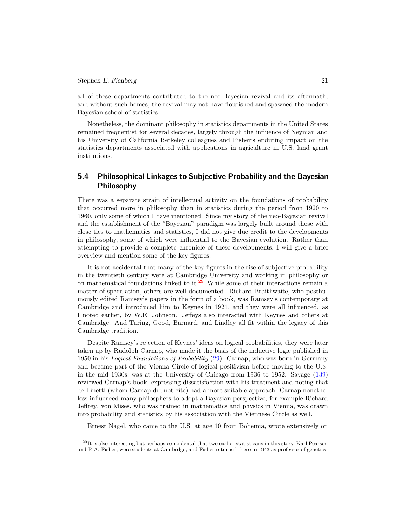<span id="page-20-1"></span>all of these departments contributed to the neo-Bayesian revival and its aftermath; and without such homes, the revival may not have flourished and spawned the modern Bayesian school of statistics.

Nonetheless, the dominant philosophy in statistics departments in the United States remained frequentist for several decades, largely through the influence of Neyman and his University of California Berkeley colleagues and Fisher's enduring impact on the statistics departments associated with applications in agriculture in U.S. land grant institutions.

### 5.4 Philosophical Linkages to Subjective Probability and the Bayesian Philosophy

There was a separate strain of intellectual activity on the foundations of probability that occurred more in philosophy than in statistics during the period from 1920 to 1960, only some of which I have mentioned. Since my story of the neo-Bayesian revival and the establishment of the "Bayesian" paradigm was largely built around those with close ties to mathematics and statistics, I did not give due credit to the developments in philosophy, some of which were influential to the Bayesian evolution. Rather than attempting to provide a complete chronicle of these developments, I will give a brief overview and mention some of the key figures.

It is not accidental that many of the key figures in the rise of subjective probability in the twentieth century were at Cambridge University and working in philosophy or on mathematical foundations linked to it.[29](#page-20-0) While some of their interactions remain a matter of speculation, others are well documented. Richard Braithwaite, who posthumously edited Ramsey's papers in the form of a book, was Ramsey's contemporary at Cambridge and introduced him to Keynes in 1921, and they were all influenced, as I noted earlier, by W.E. Johnson. Jeffeys also interacted with Keynes and others at Cambridge. And Turing, Good, Barnard, and Lindley all fit within the legacy of this Cambridge tradition.

Despite Ramsey's rejection of Keynes' ideas on logical probabilities, they were later taken up by Rudolph Carnap, who made it the basis of the inductive logic published in 1950 in his *Logical Foundations of Probability* [\(29](#page-29-11)). Carnap, who was born in Germany and became part of the Vienna Circle of logical positivism before moving to the U.S. in the mid 1930s, was at the University of Chicago from 1936 to 1952. Savage [\(139](#page-35-9)) reviewed Carnap's book, expressing dissatisfaction with his treatment and noting that de Finetti (whom Carnap did not cite) had a more suitable approach. Carnap nonetheless influenced many philosphers to adopt a Bayesian perspective, for example Richard Jeffrey. von Mises, who was trained in mathematics and physics in Vienna, was drawn into probability and statistics by his association with the Viennese Circle as well.

Ernest Nagel, who came to the U.S. at age 10 from Bohemia, wrote extensively on

<span id="page-20-0"></span><sup>29</sup>It is also interesting but perhaps coincidental that two earlier statisticans in this story, Karl Pearson and R.A. Fisher, were students at Cambrdge, and Fisher returned there in 1943 as professor of genetics.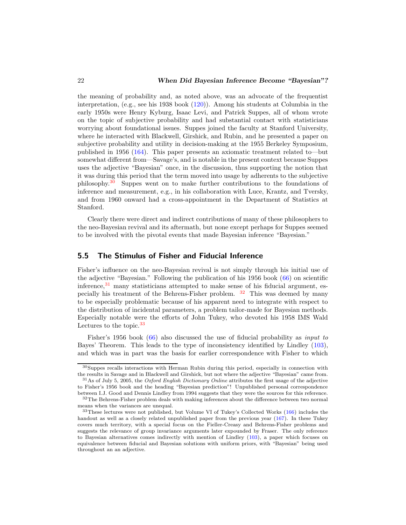<span id="page-21-4"></span>the meaning of probability and, as noted above, was an advocate of the frequentist interpretation, (e.g., see his 1938 book [\(120\)](#page-34-12)). Among his students at Columbia in the early 1950s were Henry Kyburg, Isaac Levi, and Patrick Suppes, all of whom wrote on the topic of subjective probability and had substantial contact with statisticians worrying about foundational issues. Suppes joined the faculty at Stanford University, where he interacted with Blackwell, Girshick, and Rubin, and he presented a paper on subjective probability and utility in decision-making at the 1955 Berkeley Symposium, published in 1956 [\(164](#page-37-11)). This paper presents an axiomatic treatment related to—but somewhat different from—Savage's, and is notable in the present context because Suppes uses the adjective "Bayesian" once, in the discussion, thus supporting the notion that it was during this period that the term moved into usage by adherents to the subjective philosophy.<sup>[30](#page-21-0)</sup> Suppes went on to make further contributions to the foundations of inference and measurement, e.g., in his collaboration with Luce, Krantz, and Tversky, and from 1960 onward had a cross-appointment in the Department of Statistics at Stanford.

Clearly there were direct and indirect contributions of many of these philosophers to the neo-Bayesian revival and its aftermath, but none except perhaps for Suppes seemed to be involved with the pivotal events that made Bayesian inference "Bayesian."

#### 5.5 The Stimulus of Fisher and Fiducial Inference

Fisher's influence on the neo-Bayesian revival is not simply through his initial use of the adjective "Bayesian." Following the publication of his 1956 book [\(66](#page-31-14)) on scientific inference, $31$  many statisticians attempted to make sense of his fiducial argument, especially his treatment of the Behrens-Fisher problem. [32](#page-21-2) This was deemed by many to be especially problematic because of his apparent need to integrate with respect to the distribution of incidental parameters, a problem tailor-made for Bayesian methods. Especially notable were the efforts of John Tukey, who devoted his 1958 IMS Wald Lectures to the topic.<sup>[33](#page-21-3)</sup>

Fisher's 1956 book [\(66](#page-31-14)) also discussed the use of fiducial probability as input to Bayes' Theorem. This leads to the type of inconsistency identified by Lindley [\(103\)](#page-33-16), and which was in part was the basis for earlier correspondence with Fisher to which

<span id="page-21-0"></span><sup>30</sup>Suppes recalls interactions with Herman Rubin during this period, especially in connection with the results in Savage and in Blackwell and Girshick, but not where the adjective "Bayesian" came from.

<span id="page-21-1"></span> $31$ As of July 5, 2005, the *Oxford English Dictionary Online* attributes the first usage of the adjective to Fisher's 1956 book and the heading "Bayesian prediction"! Unpublished personal correspondence between I.J. Good and Dennis Lindley from 1994 suggests that they were the sources for this reference.

<span id="page-21-2"></span><sup>&</sup>lt;sup>32</sup>The Behrens-Fisher problem deals with making inferences about the difference between two normal means when the variances are unequal.

<span id="page-21-3"></span> $33$ These lectures were not published, but Volume VI of Tukey's Collected Works [\(166](#page-37-12)) includes the handout as well as a closely related unpublished paper from the previous year [\(167](#page-37-13)). In these Tukey covers much territory, with a special focus on the Fieller-Creasy and Behrens-Fisher problems and suggests the relevance of group invariance arguments later expounded by Fraser. The only reference to Bayesian alternatives comes indirectly with mention of Lindley [\(103](#page-33-16)), a paper which focuses on equivalence between fiducial and Bayesian solutions with uniform priors, with "Bayesian" being used throughout an an adjective.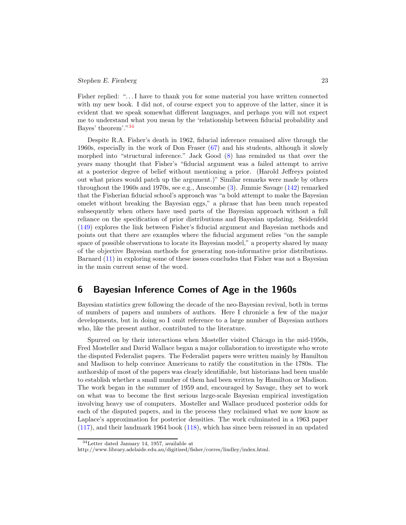<span id="page-22-1"></span>Fisher replied: ". . .I have to thank you for some material you have written connected with my new book. I did not, of course expect you to approve of the latter, since it is evident that we speak somewhat different languages, and perhaps you will not expect me to understand what you mean by the 'relationship between fiducial probability and Bayes' theorem'."[34](#page-22-0)

Despite R.A. Fisher's death in 1962, fiducial inference remained alive through the 1960s, especially in the work of Don Fraser [\(67\)](#page-31-15) and his students, although it slowly morphed into "structural inference." Jack Good [\(8\)](#page-27-3) has reminded us that over the years many thought that Fisher's "fiducial argument was a failed attempt to arrive at a posterior degree of belief without mentioning a prior. (Harold Jeffreys pointed out what priors would patch up the argument.)" Similar remarks were made by others throughout the 1960s and 1970s, see e.g., Anscombe [\(3\)](#page-27-7). Jimmie Savage [\(142\)](#page-36-10) remarked that the Fisherian fiducial school's approach was "a bold attempt to make the Bayesian omelet without breaking the Bayesian eggs," a phrase that has been much repeated subsequently when others have used parts of the Bayesian approach without a full reliance on the specification of prior distributions and Bayesian updating. Seidenfeld [\(149\)](#page-36-11) explores the link between Fisher's fiducial argument and Bayesian methods and points out that there are examples where the fiducial argument relies "on the sample space of possible observations to locate its Bayesian model," a property shared by many of the objective Bayesian methods for generating non-informative prior distributions. Barnard [\(11\)](#page-28-12) in exploring some of these issues concludes that Fisher was not a Bayesian in the main current sense of the word.

# 6 Bayesian Inference Comes of Age in the 1960s

Bayesian statistics grew following the decade of the neo-Bayesian revival, both in terms of numbers of papers and numbers of authors. Here I chronicle a few of the major developments, but in doing so I omit reference to a large number of Bayesian authors who, like the present author, contributed to the literature.

Spurred on by their interactions when Mosteller visited Chicago in the mid-1950s, Fred Mosteller and David Wallace began a major collaboration to investigate who wrote the disputed Federalist papers. The Federalist papers were written mainly by Hamilton and Madison to help convince Americans to ratify the constitution in the 1780s. The authorship of most of the papers was clearly identifiable, but historians had been unable to establish whether a small number of them had been written by Hamilton or Madison. The work began in the summer of 1959 and, encouraged by Savage, they set to work on what was to become the first serious large-scale Bayesian empirical investigation involving heavy use of computers. Mosteller and Wallace produced posterior odds for each of the disputed papers, and in the process they reclaimed what we now know as Laplace's approximation for posterior densities. The work culminated in a 1963 paper [\(117\)](#page-34-13), and their landmark 1964 book [\(118\)](#page-34-14), which has since been reissued in an updated

<sup>34</sup>Letter dated January 14, 1957, available at

<span id="page-22-0"></span>http://www.library.adelaide.edu.au/digitised/fisher/corres/lindley/index.html.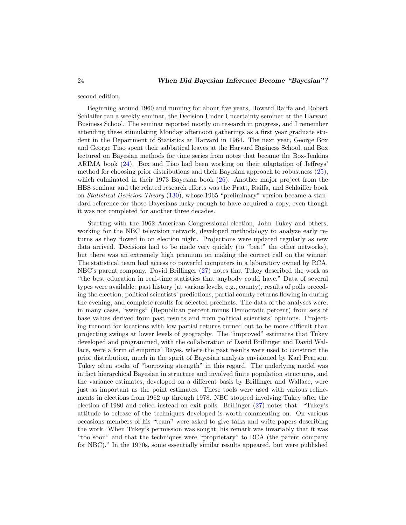<span id="page-23-0"></span>second edition.

Beginning around 1960 and running for about five years, Howard Raiffa and Robert Schlaifer ran a weekly seminar, the Decision Under Uncertainty seminar at the Harvard Business School. The seminar reported mostly on research in progress, and I remember attending these stimulating Monday afternoon gatherings as a first year graduate student in the Department of Statistics at Harvard in 1964. The next year, George Box and George Tiao spent their sabbatical leaves at the Harvard Business School, and Box lectured on Bayesian methods for time series from notes that became the Box-Jenkins ARIMA book [\(24](#page-28-13)). Box and Tiao had been working on their adaptation of Jeffreys' method for choosing prior distributions and their Bayesian approach to robustness [\(25](#page-28-14)), which culminated in their 1973 Bayesian book [\(26](#page-29-12)). Another major project from the HBS seminar and the related research efforts was the Pratt, Raiffa, and Schlaiffer book on Statistical Decision Theory [\(130\)](#page-35-10), whose 1965 "preliminary" version became a standard reference for those Bayesians lucky enough to have acquired a copy, even though it was not completed for another three decades.

Starting with the 1962 American Congressional election, John Tukey and others, working for the NBC television network, developed methodology to analyze early returns as they flowed in on election night. Projections were updated regularly as new data arrived. Decisions had to be made very quickly (to "beat" the other networks), but there was an extremely high premium on making the correct call on the winner. The statistical team had access to powerful computers in a laboratory owned by RCA, NBC's parent company. David Brillinger [\(27](#page-29-13)) notes that Tukey described the work as "the best education in real-time statistics that anybody could have." Data of several types were available: past history (at various levels, e.g., county), results of polls preceding the election, political scientists' predictions, partial county returns flowing in during the evening, and complete results for selected precincts. The data of the analyses were, in many cases, "swings" (Republican percent minus Democratic percent) from sets of base values derived from past results and from political scientists' opinions. Projecting turnout for locations with low partial returns turned out to be more difficult than projecting swings at lower levels of geography. The "improved" estimates that Tukey developed and programmed, with the collaboration of David Brillinger and David Wallace, were a form of empirical Bayes, where the past results were used to construct the prior distribution, much in the spirit of Bayesian analysis envisioned by Karl Pearson. Tukey often spoke of "borrowing strength" in this regard. The underlying model was in fact hierarchical Bayesian in structure and involved finite population structures, and the variance estimates, developed on a different basis by Brillinger and Wallace, were just as important as the point estimates. These tools were used with various refinements in elections from 1962 up through 1978. NBC stopped involving Tukey after the election of 1980 and relied instead on exit polls. Brillinger [\(27\)](#page-29-13) notes that: "Tukey's attitude to release of the techniques developed is worth commenting on. On various occasions members of his "team" were asked to give talks and write papers describing the work. When Tukey's permission was sought, his remark was invariably that it was "too soon" and that the techniques were "proprietary" to RCA (the parent company for NBC)." In the 1970s, some essentially similar results appeared, but were published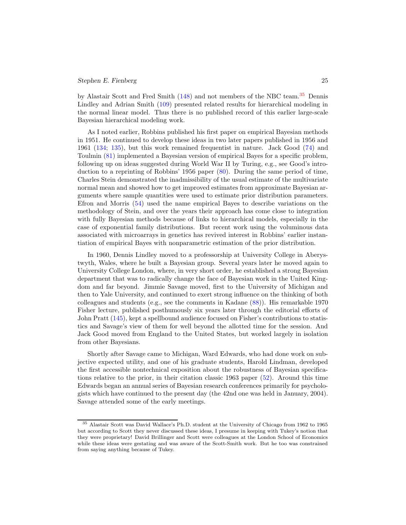<span id="page-24-1"></span>by Alastair Scott and Fred Smith [\(148](#page-36-12)) and not members of the NBC team.[35](#page-24-0) Dennis Lindley and Adrian Smith [\(109\)](#page-33-17) presented related results for hierarchical modeling in the normal linear model. Thus there is no published record of this earlier large-scale Bayesian hierarchical modeling work.

As I noted earlier, Robbins published his first paper on empirical Bayesian methods in 1951. He continued to develop these ideas in two later papers published in 1956 and 1961 [\(134](#page-35-11); [135\)](#page-35-12), but this work remained frequentist in nature. Jack Good [\(74\)](#page-31-10) and Toulmin [\(81](#page-32-12)) implemented a Bayesian version of empirical Bayes for a specific problem, following up on ideas suggested during World War II by Turing, e.g., see Good's introduction to a reprinting of Robbins' 1956 paper [\(80\)](#page-32-13). During the same period of time, Charles Stein demonstrated the inadmissibility of the usual estimate of the multivariate normal mean and showed how to get improved estimates from approximate Bayesian arguments where sample quantities were used to estimate prior distribution parameters. Efron and Morris [\(54](#page-30-13)) used the name empirical Bayes to describe variations on the methodology of Stein, and over the years their approach has come close to integration with fully Bayesian methods because of links to hierarchical models, especially in the case of exponential family distributions. But recent work using the voluminous data associated with microarrays in genetics has revived interest in Robbins' earlier instantiation of empirical Bayes with nonparametric estimation of the prior distribution.

In 1960, Dennis Lindley moved to a professorship at University College in Aberystwyth, Wales, where he built a Bayesian group. Several years later he moved again to University College London, where, in very short order, he established a strong Bayesian department that was to radically change the face of Bayesian work in the United Kingdom and far beyond. Jimmie Savage moved, first to the University of Michigan and then to Yale University, and continued to exert strong influence on the thinking of both colleagues and students (e.g., see the comments in Kadane [\(88\)](#page-32-14)). His remarkable 1970 Fisher lecture, published posthumously six years later through the editorial efforts of John Pratt [\(145\)](#page-36-13), kept a spellbound audience focused on Fisher's contributions to statistics and Savage's view of them for well beyond the allotted time for the session. And Jack Good moved from England to the United States, but worked largely in isolation from other Bayesians.

Shortly after Savage came to Michigan, Ward Edwards, who had done work on subjective expected utility, and one of his graduate students, Harold Lindman, developed the first accessible nontechnical exposition about the robustness of Bayesian specifications relative to the prior, in their citation classic 1963 paper [\(52\)](#page-30-12). Around this time Edwards began an annual series of Bayesian research conferences primarily for psychologists which have continued to the present day (the 42nd one was held in January, 2004). Savage attended some of the early meetings.

<span id="page-24-0"></span> $^{35}$  Alastair Scott was David Wallace's Ph.D. student at the University of Chicago from 1962 to 1965 but according to Scott they never discussed these ideas, I presume in keeping with Tukey's notion that they were proprietary! David Brillinger and Scott were colleagues at the London School of Economics while these ideas were gestating and was aware of the Scott-Smith work. But he too was constrained from saying anything because of Tukey.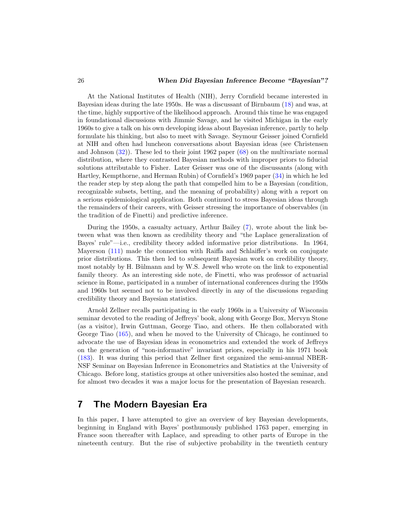#### <span id="page-25-0"></span>26 When Did Bayesian Inference Become "Bayesian"?

At the National Institutes of Health (NIH), Jerry Cornfield became interested in Bayesian ideas during the late 1950s. He was a discussant of Birnbaum [\(18](#page-28-11)) and was, at the time, highly supportive of the likelihood approach. Around this time he was engaged in foundational discussions with Jimmie Savage, and he visited Michigan in the early 1960s to give a talk on his own developing ideas about Bayesian inference, partly to help formulate his thinking, but also to meet with Savage. Seymour Geisser joined Cornfield at NIH and often had luncheon conversations about Bayesian ideas (see Christensen and Johnson [\(32\)](#page-29-14)). These led to their joint 1962 paper [\(68](#page-31-16)) on the multivariate normal distribution, where they contrasted Bayesian methods with improper priors to fiducial solutions attributable to Fisher. Later Geisser was one of the discussants (along with Hartley, Kempthorne, and Herman Rubin) of Cornfield's 1969 paper [\(34](#page-29-15)) in which he led the reader step by step along the path that compelled him to be a Bayesian (condition, recognizable subsets, betting, and the meaning of probability) along with a report on a serious epidemiological application. Both continued to stress Bayesian ideas through the remainders of their careers, with Geisser stressing the importance of observables (in the tradition of de Finetti) and predictive inference.

During the 1950s, a casualty actuary, Arthur Bailey [\(7](#page-27-8)), wrote about the link between what was then known as credibility theory and "the Laplace generalization of Bayes' rule"—i.e., credibility theory added informative prior distributions. In 1964, Mayerson [\(111\)](#page-34-15) made the connection with Raiffa and Schlaiffer's work on conjugate prior distributions. This then led to subsequent Bayesian work on credibility theory, most notably by H. Bülmann and by W.S. Jewell who wrote on the link to exponential family theory. As an interesting side note, de Finetti, who was professor of actuarial science in Rome, participated in a number of international conferences during the 1950s and 1960s but seemed not to be involved directly in any of the discussions regarding credibility theory and Bayesian statistics.

Arnold Zellner recalls participating in the early 1960s in a University of Wisconsin seminar devoted to the reading of Jeffreys' book, along with George Box, Mervyn Stone (as a visitor), Irwin Guttman, George Tiao, and others. He then collaborated with George Tiao [\(165\)](#page-37-14), and when he moved to the University of Chicago, he continued to advocate the use of Bayesian ideas in econometrics and extended the work of Jeffreys on the generation of "non-informative" invariant priors, especially in his 1971 book [\(183\)](#page-38-12). It was during this period that Zellner first organized the semi-annual NBER-NSF Seminar on Bayesian Inference in Econometrics and Statistics at the University of Chicago. Before long, statistics groups at other universities also hosted the seminar, and for almost two decades it was a major locus for the presentation of Bayesian research.

### 7 The Modern Bayesian Era

In this paper, I have attempted to give an overview of key Bayesian developments, beginning in England with Bayes' posthumously published 1763 paper, emerging in France soon thereafter with Laplace, and spreading to other parts of Europe in the nineteenth century. But the rise of subjective probability in the twentieth century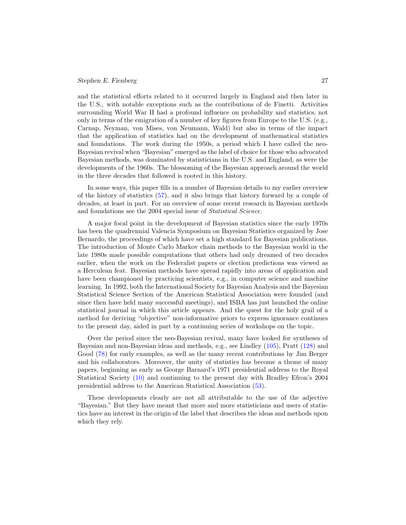<span id="page-26-0"></span>and the statistical efforts related to it occurred largely in England and then later in the U.S., with notable exceptions such as the contributions of de Finetti. Activities surrounding World War II had a profound influence on probability and statistics, not only in terms of the emigration of a number of key figures from Europe to the U.S. (e.g., Carnap, Neyman, von Mises, von Neumann, Wald) but also in terms of the impact that the application of statistics had on the development of mathematical statistics and foundations. The work during the 1950s, a period which I have called the neo-Bayesian revival when "Bayesian" emerged as the label of choice for those who advocated Bayesian methods, was dominated by statisticians in the U.S. and England, as were the developments of the 1960s. The blossoming of the Bayesian approach around the world in the three decades that followed is rooted in this history.

In some ways, this paper fills in a number of Bayesian details to my earlier overview of the history of statistics [\(57](#page-30-14)), and it also brings that history forward by a couple of decades, at least in part. For an overview of some recent research in Bayesian methods and foundations see the 2004 special issue of Statistical Science.

A major focal point in the development of Bayesian statistics since the early 1970s has been the quadrennial Valencia Symposium on Bayesian Statistics organized by Jose Bernardo, the proceedings of which have set a high standard for Bayesian publications. The introduction of Monte Carlo Markov chain methods to the Bayesian world in the late 1980s made possible computations that others had only dreamed of two decades earlier, when the work on the Federalist papers or election predictions was viewed as a Herculean feat. Bayesian methods have spread rapidly into areas of application and have been championed by practicing scientists, e.g., in computer science and machine learning. In 1992, both the International Society for Bayesian Analysis and the Bayesian Statistical Science Section of the American Statistical Association were founded (and since then have held many successful meetings), and ISBA has just launched the online statistical journal in which this article appears. And the quest for the holy grail of a method for deriving "objective" non-informative priors to express ignorance continues to the present day, aided in part by a continuing series of workshops on the topic.

Over the period since the neo-Bayesian revival, many have looked for syntheses of Bayesian and non-Bayesian ideas and methods, e.g., see Lindley [\(105\)](#page-33-13), Pratt [\(128\)](#page-35-13) and Good [\(78](#page-32-15)) for early examples, as well as the many recent contributions by Jim Berger and his collaborators. Moreover, the unity of statistics has become a theme of many papers, beginning as early as George Barnard's 1971 presidential address to the Royal Statistical Society [\(10](#page-27-9)) and continuing to the present day with Bradley Efron's 2004 presidential address to the American Statistical Association [\(53\)](#page-30-15).

These developments clearly are not all attributable to the use of the adjective "Bayesian." But they have meant that more and more statisticians and users of statistics have an interest in the origin of the label that describes the ideas and methods upon which they rely.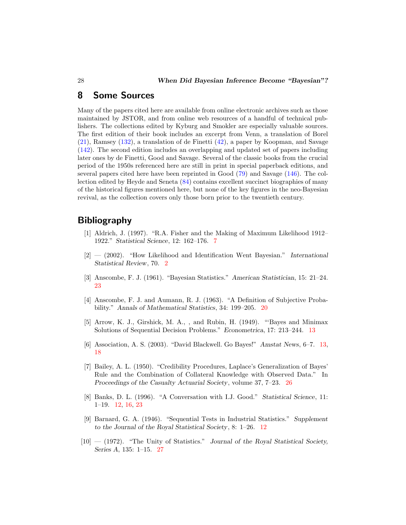### <span id="page-27-10"></span>8 Some Sources

Many of the papers cited here are available from online electronic archives such as those maintained by JSTOR, and from online web resources of a handful of technical publishers. The collections edited by Kyburg and Smokler are especially valuable sources. The first edition of their book includes an excerpt from Venn, a translation of Borel [\(21\)](#page-28-4), Ramsey [\(132](#page-35-1)), a translation of de Finetti [\(42\)](#page-30-4), a paper by Koopman, and Savage [\(142\)](#page-36-10). The second edition includes an overlapping and updated set of papers including later ones by de Finetti, Good and Savage. Several of the classic books from the crucial period of the 1950s referenced here are still in print in special paperback editions, and several papers cited here have been reprinted in Good [\(79\)](#page-32-16) and Savage [\(146\)](#page-36-14). The collection edited by Heyde and Seneta [\(84](#page-32-17)) contains excellent succinct biographies of many of the historical figures mentioned here, but none of the key figures in the neo-Bayesian revival, as the collection covers only those born prior to the twentieth century.

### <span id="page-27-1"></span>Bibliography

- [1] Aldrich, J. (1997). "R.A. Fisher and the Making of Maximum Likelihood 1912– 1922." Statistical Science, 12: 162–176. [7](#page-6-1)
- <span id="page-27-0"></span>[2] — (2002). "How Likelihood and Identification Went Bayesian." International Statistical Review, 70. [2](#page-1-2)
- <span id="page-27-7"></span>[3] Anscombe, F. J. (1961). "Bayesian Statistics." American Statistician, 15: 21–24. [23](#page-22-1)
- <span id="page-27-6"></span>[4] Anscombe, F. J. and Aumann, R. J. (1963). "A Definition of Subjective Probability." Annals of Mathematical Statistics, 34: 199–205. [20](#page-19-0)
- <span id="page-27-5"></span>[5] Arrow, K. J., Girshick, M. A., , and Rubin, H. (1949). "'Bayes and Minimax Solutions of Sequential Decision Problems." Econometrica, 17: 213–244. [13](#page-12-0)
- <span id="page-27-4"></span>[6] Association, A. S. (2003). "David Blackwell. Go Bayes!" Amstat News, 6–7. [13,](#page-12-0) [18](#page-17-2)
- <span id="page-27-8"></span>[7] Bailey, A. L. (1950). "Credibility Procedures, Laplace's Generalization of Bayes' Rule and the Combination of Collateral Knowledge with Observed Data." In Proceedings of the Casualty Actuarial Society, volume 37, 7–23. [26](#page-25-0)
- <span id="page-27-3"></span>[8] Banks, D. L. (1996). "A Conversation with I.J. Good." Statistical Science, 11: 1–19. [12,](#page-11-1) [16,](#page-15-3) [23](#page-22-1)
- <span id="page-27-2"></span>[9] Barnard, G. A. (1946). "Sequential Tests in Industrial Statistics." Supplement to the Journal of the Royal Statistical Society, 8: 1–26. [12](#page-11-1)
- <span id="page-27-9"></span> $[10]$  — (1972). "The Unity of Statistics." Journal of the Royal Statistical Society, Series A, 135: 1–15. [27](#page-26-0)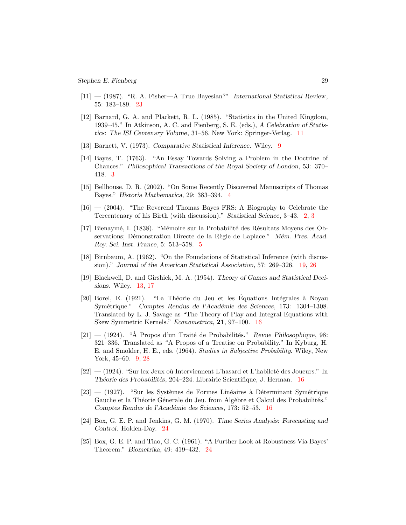- <span id="page-28-12"></span> $[11]$  — (1987). "R. A. Fisher—A True Bayesian?" International Statistical Review, 55: 183–189. [23](#page-22-1)
- <span id="page-28-6"></span>[12] Barnard, G. A. and Plackett, R. L. (1985). "Statistics in the United Kingdom, 1939–45." In Atkinson, A. C. and Fienberg, S. E. (eds.), A Celebration of Statistics: The ISI Centenary Volume, 31–56. New York: Springer-Verlag. [11](#page-10-1)
- <span id="page-28-5"></span>[13] Barnett, V. (1973). Comparative Statistical Inference. Wiley. [9](#page-8-3)
- <span id="page-28-1"></span>[14] Bayes, T. (1763). "An Essay Towards Solving a Problem in the Doctrine of Chances." Philosophical Transactions of the Royal Society of London, 53: 370– 418. [3](#page-2-2)
- <span id="page-28-2"></span>[15] Bellhouse, D. R. (2002). "On Some Recently Discovered Manuscripts of Thomas Bayes." Historia Mathematica, 29: 383–394. [4](#page-3-1)
- <span id="page-28-0"></span>[16] — (2004). "The Reverend Thomas Bayes FRS: A Biography to Celebrate the Tercentenary of his Birth (with discussion)." Statistical Science, 3–43. [2,](#page-1-2) [3](#page-2-2)
- <span id="page-28-3"></span>[17] Bienaymé, I. (1838). "Mémoire sur la Probabilité des Résultats Moyens des Observations; Démonstration Directe de la Règle de Laplace." Mém. Pres. Acad. Roy. Sci. Inst. France, 5: 513–558. [5](#page-4-2)
- <span id="page-28-11"></span>[18] Birnbaum, A. (1962). "On the Foundations of Statistical Inference (with discussion)." Journal of the American Statistical Association, 57: 269–326. [19,](#page-18-0) [26](#page-25-0)
- <span id="page-28-7"></span>[19] Blackwell, D. and Girshick, M. A. (1954). Theory of Games and Statistical Decisions. Wiley. [13,](#page-12-0) [17](#page-16-3)
- <span id="page-28-8"></span>[20] Borel, E. (1921). "La Théorie du Jeu et les Équations Intégrales à Noyau Symétrique." Comptes Rendus de l'Académie des Sciences, 173: 1304–1308. Translated by L. J. Savage as "The Theory of Play and Integral Equations with Skew Symmetric Kernels." Econometrica, 21, 97–100. [16](#page-15-3)
- <span id="page-28-4"></span> $[21] - (1924)$ . "À Propos d'un Traité de Probabilités." Revue Philosophique, 98: 321–336. Translated as "A Propos of a Treatise on Probability." In Kyburg, H. E. and Smokler, H. E., eds. (1964). Studies in Subjective Probability. Wiley, New York, 45–60. [9,](#page-8-3) [28](#page-27-10)
- <span id="page-28-9"></span> $[22]$  —  $(1924)$ . "Sur lex Jeux où Interviennent L'hasard et L'habileté des Joueurs." In Théorie des Probabilités, 204–224. Librairie Scientifique, J. Herman. [16](#page-15-3)
- <span id="page-28-10"></span> $[23]$  — (1927). "Sur les Systèmes de Formes Linéaires à Déterminant Symétrique Gauche et la Théorie Génerale du Jeu. from Algèbre et Calcul des Probabilités." Comptes Rendus de l'Académie des Sciences, 173: 52-53. [16](#page-15-3)
- <span id="page-28-13"></span>[24] Box, G. E. P. and Jenkins, G. M. (1970). Time Series Analysis: Forecasting and Control. Holden-Day. [24](#page-23-0)
- <span id="page-28-14"></span>[25] Box, G. E. P. and Tiao, G. C. (1961). "A Further Look at Robustness Via Bayes' Theorem." Biometrika, 49: 419–432. [24](#page-23-0)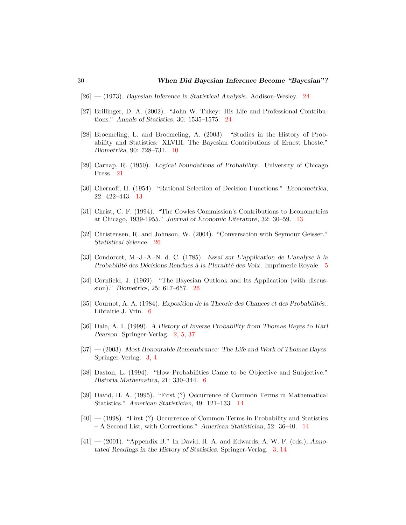- <span id="page-29-12"></span>[26] — (1973). Bayesian Inference in Statistical Analysis. Addison-Wesley. [24](#page-23-0)
- <span id="page-29-13"></span>[27] Brillinger, D. A. (2002). "John W. Tukey: His Life and Professional Contributions." Annals of Statistics, 30: 1535–1575. [24](#page-23-0)
- <span id="page-29-6"></span>[28] Broemeling, L. and Broemeling, A. (2003). "Studies in the History of Probability and Statistics: XLVIII. The Bayesian Contributions of Ernest Lhoste." Biometrika, 90: 728–731. [10](#page-9-0)
- <span id="page-29-11"></span>[29] Carnap, R. (1950). Logical Foundations of Probability. University of Chicago Press. [21](#page-20-1)
- <span id="page-29-8"></span>[30] Chernoff, H. (1954). "Rational Selection of Decision Functions." Econometrica, 22: 422–443. [13](#page-12-0)
- <span id="page-29-7"></span>[31] Christ, C. F. (1994). "The Cowles Commission's Contributions to Econometrics at Chicago, 1939-1955." Journal of Economic Literature, 32: 30–59. [13](#page-12-0)
- <span id="page-29-14"></span>[32] Christensen, R. and Johnson, W. (2004). "Conversation with Seymour Geisser." Statistical Science. [26](#page-25-0)
- <span id="page-29-3"></span>[33] Condorcet, M.-J.-A.-N. d. C. (1785). Essai sur L'application de L'analyse à la Probabilité des Décisions Rendues à la Pluraltté des Voix. Imprimerie Royale. [5](#page-4-2)
- <span id="page-29-15"></span>[34] Cornfield, J. (1969). "The Bayesian Outlook and Its Application (with discussion)." Biometrics, 25: 617–657. [26](#page-25-0)
- <span id="page-29-5"></span> $[35]$  Cournot, A. A. (1984). Exposition de la Theorie des Chances et des Probabilités.. Librairie J. Vrin. [6](#page-5-2)
- <span id="page-29-0"></span>[36] Dale, A. I. (1999). A History of Inverse Probability from Thomas Bayes to Karl Pearson. Springer-Verlag. [2,](#page-1-2) [5,](#page-4-2) [37](#page-36-15)
- <span id="page-29-1"></span>[37] — (2003). Most Honourable Remembrance: The Life and Work of Thomas Bayes. Springer-Verlag. [3,](#page-2-2) [4](#page-3-1)
- <span id="page-29-4"></span>[38] Daston, L. (1994). "How Probabilities Came to be Objective and Subjective." Historia Mathematica, 21: 330–344. [6](#page-5-2)
- <span id="page-29-9"></span>[39] David, H. A. (1995). "First (?) Occurrence of Common Terms in Mathematical Statistics." American Statistician, 49: 121–133. [14](#page-13-0)
- <span id="page-29-10"></span>[40] — (1998). "First (?) Occurrence of Common Terms in Probability and Statistics – A Second List, with Corrections." American Statistician, 52: 36–40. [14](#page-13-0)
- <span id="page-29-2"></span> $[41]$  — (2001). "Appendix B." In David, H. A. and Edwards, A. W. F. (eds.), Annotated Readings in the History of Statistics. Springer-Verlag. [3,](#page-2-2) [14](#page-13-0)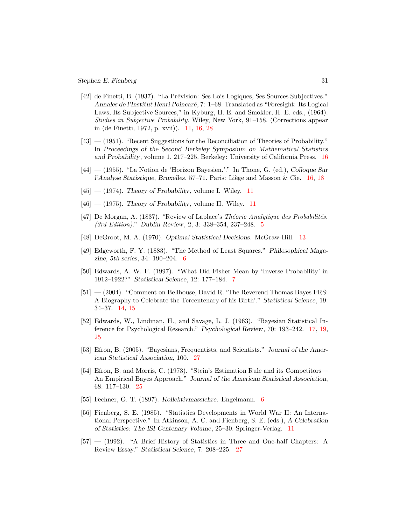- <span id="page-30-4"></span>[42] de Finetti, B. (1937). "La Prévision: Ses Lois Logiques, Ses Sources Subjectives." Annales de l'Institut Henri Poincaré, 7: 1–68. Translated as "Foresight: Its Logical Laws, Its Subjective Sources," in Kyburg, H. E. and Smokler, H. E. eds., (1964). Studies in Subjective Probability. Wiley, New York, 91–158. (Corrections appear in (de Finetti, 1972, p. xvii)). [11,](#page-10-1) [16,](#page-15-3) [28](#page-27-10)
- <span id="page-30-10"></span>[43] — (1951). "Recent Suggestions for the Reconciliation of Theories of Probability." In Proceedings of the Second Berkeley Symposium on Mathematical Statistics and Probability, volume 1, 217–225. Berkeley: University of California Press. [16](#page-15-3)
- <span id="page-30-11"></span>[44] — (1955). "La Notion de 'Horizon Bayesien.'." In Thone, G. (ed.), Colloque Sur l'Analyse Statistique, Bruxelles, 57-71. Paris: Liège and Masson & Cie. [16,](#page-15-3) [18](#page-17-2)
- <span id="page-30-5"></span> $[45] - (1974)$ . Theory of Probability, volume I. Wiley. [11](#page-10-1)
- <span id="page-30-6"></span> $[46]$  — (1975). Theory of Probability, volume II. Wiley. [11](#page-10-1)
- <span id="page-30-0"></span>[47] De Morgan, A. (1837). "Review of Laplace's *Théorie Analytique des Probabilités.* (3rd Edition)." Dublin Review, 2, 3: 338–354, 237–248. [5](#page-4-2)
- <span id="page-30-8"></span>[48] DeGroot, M. A. (1970). Optimal Statistical Decisions. McGraw-Hill. [13](#page-12-0)
- <span id="page-30-2"></span>[49] Edgeworth, F. Y. (1883). "The Method of Least Squares." Philosophical Magazine, 5th series, 34: 190–204. [6](#page-5-2)
- <span id="page-30-3"></span>[50] Edwards, A. W. F. (1997). "What Did Fisher Mean by 'Inverse Probability' in 1912–1922?" Statistical Science, 12: 177–184. [7](#page-6-1)
- <span id="page-30-9"></span>[51] — (2004). "Comment on Bellhouse, David R. 'The Reverend Thomas Bayes FRS: A Biography to Celebrate the Tercentenary of his Birth'." Statistical Science, 19: 34–37. [14,](#page-13-0) [15](#page-14-0)
- <span id="page-30-12"></span>[52] Edwards, W., Lindman, H., and Savage, L. J. (1963). "Bayesian Statistical Inference for Psychological Research." Psychological Review, 70: 193–242. [17,](#page-16-3) [19,](#page-18-0) [25](#page-24-1)
- <span id="page-30-15"></span>[53] Efron, B. (2005). "Bayesians, Frequentists, and Scientists." Journal of the American Statistical Association, 100. [27](#page-26-0)
- <span id="page-30-13"></span>[54] Efron, B. and Morris, C. (1973). "Stein's Estimation Rule and its Competitors— An Empirical Bayes Approach." Journal of the American Statistical Association, 68: 117–130. [25](#page-24-1)
- <span id="page-30-1"></span>[55] Fechner, G. T. (1897). Kollektivmasslehre. Engelmann. [6](#page-5-2)
- <span id="page-30-7"></span>[56] Fienberg, S. E. (1985). "Statistics Developments in World War II: An International Perspective." In Atkinson, A. C. and Fienberg, S. E. (eds.), A Celebration of Statistics: The ISI Centenary Volume, 25–30. Springer-Verlag. [11](#page-10-1)
- <span id="page-30-14"></span>[57] — (1992). "A Brief History of Statistics in Three and One-half Chapters: A Review Essay." Statistical Science, 7: 208–225. [27](#page-26-0)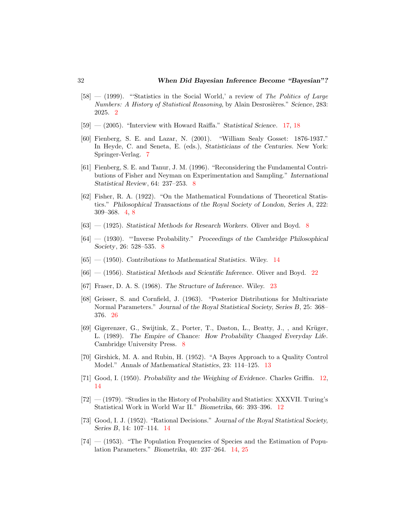- <span id="page-31-0"></span> $[58]$  — (1999). "Statistics in the Social World,' a review of The Politics of Large Numbers: A History of Statistical Reasoning, by Alain Desrosières." Science, 283: 2025. [2](#page-1-2)
- <span id="page-31-13"></span> $[59]$  —  $(2005)$ . "Interview with Howard Raiffa." Statistical Science. [17,](#page-16-3) [18](#page-17-2)
- <span id="page-31-2"></span>[60] Fienberg, S. E. and Lazar, N. (2001). "William Sealy Gosset: 1876-1937." In Heyde, C. and Seneta, E. (eds.), Statisticians of the Centuries. New York: Springer-Verlag. [7](#page-6-1)
- <span id="page-31-5"></span>[61] Fienberg, S. E. and Tanur, J. M. (1996). "Reconsidering the Fundamental Contributions of Fisher and Neyman on Experimentation and Sampling." International Statistical Review, 64: 237–253. [8](#page-7-0)
- <span id="page-31-1"></span>[62] Fisher, R. A. (1922). "On the Mathematical Foundations of Theoretical Statistics." Philosophical Transactions of the Royal Society of London, Series A, 222: 309–368. [4,](#page-3-1) [8](#page-7-0)
- <span id="page-31-4"></span> $[63] - (1925)$ . Statistical Methods for Research Workers. Oliver and Boyd. [8](#page-7-0)
- <span id="page-31-3"></span>[64] — (1930). "'Inverse Probability." Proceedings of the Cambridge Philosophical Society, 26: 528–535. [8](#page-7-0)
- <span id="page-31-12"></span> $[65]$  — (1950). Contributions to Mathematical Statistics. Wiley. [14](#page-13-0)
- <span id="page-31-14"></span>[66] — (1956). Statistical Methods and Scientific Inference. Oliver and Boyd. [22](#page-21-4)
- <span id="page-31-15"></span>[67] Fraser, D. A. S. (1968). The Structure of Inference. Wiley. [23](#page-22-1)
- <span id="page-31-16"></span>[68] Geisser, S. and Cornfield, J. (1963). "Posterior Distributions for Multivariate Normal Parameters." Journal of the Royal Statistical Society, Series B, 25: 368– 376. [26](#page-25-0)
- <span id="page-31-6"></span> $[69]$  Gigerenzer, G., Swijtink, Z., Porter, T., Daston, L., Beatty, J., , and Krüger, L. (1989). The Empire of Chance: How Probability Changed Everyday Life. Cambridge University Press. [8](#page-7-0)
- <span id="page-31-9"></span>[70] Girshick, M. A. and Rubin, H. (1952). "A Bayes Approach to a Quality Control Model." Annals of Mathematical Statistics, 23: 114–125. [13](#page-12-0)
- <span id="page-31-8"></span>[71] Good, I. (1950). Probability and the Weighing of Evidence. Charles Griffin. [12,](#page-11-1) [14](#page-13-0)
- <span id="page-31-7"></span>[72] — (1979). "Studies in the History of Probability and Statistics: XXXVII. Turing's Statistical Work in World War II." Biometrika, 66: 393–396. [12](#page-11-1)
- <span id="page-31-11"></span>[73] Good, I. J. (1952). "Rational Decisions." Journal of the Royal Statistical Society, Series B, 14: 107–114. [14](#page-13-0)
- <span id="page-31-10"></span>[74] — (1953). "The Population Frequencies of Species and the Estimation of Population Parameters." Biometrika, 40: 237–264. [14,](#page-13-0) [25](#page-24-1)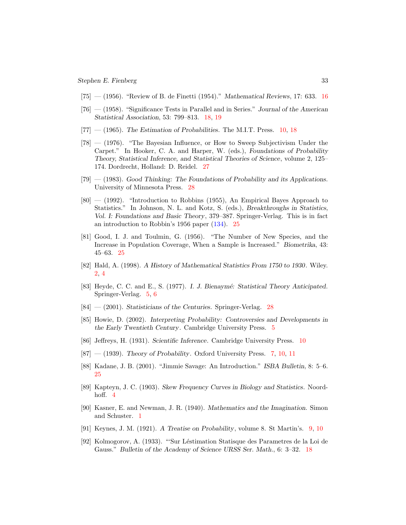- <span id="page-32-18"></span><span id="page-32-9"></span> $[75]$  — (1956). "Review of B. de Finetti (1954)." Mathematical Reviews, 17: 633. [16](#page-15-3)
- <span id="page-32-10"></span>[76] — (1958). "Significance Tests in Parallel and in Series." Journal of the American Statistical Association, 53: 799–813. [18,](#page-17-2) [19](#page-18-0)
- <span id="page-32-7"></span> $[77] - (1965)$ . The Estimation of Probabilities. The M.I.T. Press. [10,](#page-9-0) [18](#page-17-2)
- <span id="page-32-15"></span>[78] — (1976). "The Bayesian Influence, or How to Sweep Subjectivism Under the Carpet." In Hooker, C. A. and Harper, W. (eds.), Foundations of Probability Theory, Statistical Inference, and Statistical Theories of Science, volume 2, 125– 174. Dordrecht, Holland: D. Reidel. [27](#page-26-0)
- <span id="page-32-16"></span>[79] — (1983). Good Thinking: The Foundations of Probability and its Applications. University of Minnesota Press. [28](#page-27-10)
- <span id="page-32-13"></span>[80] — (1992). "Introduction to Robbins (1955), An Empirical Bayes Approach to Statistics." In Johnson, N. L. and Kotz, S. (eds.), Breakthroughs in Statistics, Vol. I: Foundations and Basic Theory, 379–387. Springer-Verlag. This is in fact an introduction to Robbin's 1956 paper [\(134](#page-35-11)). [25](#page-24-1)
- <span id="page-32-12"></span>[81] Good, I. J. and Toulmin, G. (1956). "The Number of New Species, and the Increase in Population Coverage, When a Sample is Increased." Biometrika, 43: 45–63. [25](#page-24-1)
- <span id="page-32-1"></span>[82] Hald, A. (1998). A History of Mathematical Statistics From 1750 to 1930. Wiley. [2,](#page-1-2) [4](#page-3-1)
- <span id="page-32-4"></span>[83] Heyde, C. C. and E., S. (1977). I. J. Bienaymé: Statistical Theory Anticipated. Springer-Verlag. [5,](#page-4-2) [6](#page-5-2)
- <span id="page-32-17"></span>[84] — (2001). Statisticians of the Centuries. Springer-Verlag. [28](#page-27-10)
- <span id="page-32-3"></span>[85] Howie, D. (2002). Interpreting Probability: Controversies and Developments in the Early Twentieth Century. Cambridge University Press. [5](#page-4-2)
- <span id="page-32-8"></span>[86] Jeffreys, H. (1931). Scientific Inference. Cambridge University Press. [10](#page-9-0)
- <span id="page-32-5"></span> $[87] - (1939)$ . Theory of Probability. Oxford University Press. [7,](#page-6-1) [10,](#page-9-0) [11](#page-10-1)
- <span id="page-32-14"></span>[88] Kadane, J. B. (2001). "Jimmie Savage: An Introduction." ISBA Bulletin, 8: 5–6. [25](#page-24-1)
- <span id="page-32-2"></span>[89] Kapteyn, J. C. (1903). Skew Frequency Curves in Biology and Statistics. Noordhoff. [4](#page-3-1)
- <span id="page-32-0"></span>[90] Kasner, E. and Newman, J. R. (1940). Mathematics and the Imagination. Simon and Schuster. [1](#page-0-5)
- <span id="page-32-6"></span>[91] Keynes, J. M. (1921). A Treatise on Probability, volume 8. St Martin's. [9,](#page-8-3) [10](#page-9-0)
- <span id="page-32-11"></span>[92] Kolmogorov, A. (1933). "'Sur L´estimation Statisque des Parametres de la Loi de Gauss." Bulletin of the Academy of Science URSS Ser. Math., 6: 3–32. [18](#page-17-2)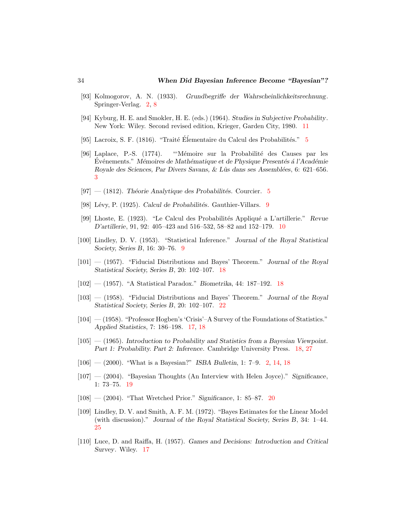- <span id="page-33-1"></span>[93] Kolmogorov, A. N. (1933). Grundbegriffe der Wahrscheinlichkeitsrechnung. Springer-Verlag. [2,](#page-1-2) [8](#page-7-0)
- <span id="page-33-8"></span>[94] Kyburg, H. E. and Smokler, H. E. (eds.) (1964). Studies in Subjective Probability. New York: Wiley. Second revised edition, Krieger, Garden City, 1980. [11](#page-10-1)
- <span id="page-33-4"></span>[9[5](#page-4-2)] Lacroix, S. F. (1816). "Traité É $\acute{e}$ lementaire du Calcul des Probabilités."
- <span id="page-33-2"></span>[96] Laplace, P.-S. (1774). "'Mémoire sur la Probabilité des Causes par les Evénements." Mémoires de Mathématique et de Physique Presentés á l'Académie Royale des Sciences, Par Divers Savans,  $\&$  Lûs dans ses Assemblées, 6: 621–656. [3](#page-2-2)
- <span id="page-33-3"></span> $[97] - (1812)$ . Théorie Analytique des Probabilités. Courcier. [5](#page-4-2)
- <span id="page-33-6"></span>[[9](#page-8-3)8] Lévy, P. (1925). Calcul de Probabilités. Gauthier-Villars. 9
- <span id="page-33-7"></span>[99] Lhoste, E. (1923). "Le Calcul des Probabilit´es Appliqu´e a L'artillerie." Revue D'artillerie, 91, 92: 405–423 and 516–532, 58–82 and 152–179. [10](#page-9-0)
- <span id="page-33-5"></span>[100] Lindley, D. V. (1953). "Statistical Inference." Journal of the Royal Statistical Society, Series B, 16: 30–76. [9](#page-8-3)
- <span id="page-33-11"></span>[101] — (1957). "Fiducial Distributions and Bayes' Theorem." Journal of the Royal Statistical Society, Series B, 20: 102–107. [18](#page-17-2)
- <span id="page-33-12"></span>[102] — (1957). "A Statistical Paradox." Biometrika, 44: 187–192. [18](#page-17-2)
- <span id="page-33-16"></span>[103] — (1958). "Fiducial Distributions and Bayes' Theorem." Journal of the Royal Statistical Society, Series B, 20: 102–107. [22](#page-21-4)
- <span id="page-33-9"></span>[104] — (1958). "Professor Hogben's 'Crisis'–A Survey of the Foundations of Statistics." Applied Statistics, 7: 186–198. [17,](#page-16-3) [18](#page-17-2)
- <span id="page-33-13"></span>[105] — (1965). Introduction to Probability and Statistics from a Bayesian Viewpoint. Part 1: Probability. Part 2: Inference. Cambridge University Press. [18,](#page-17-2) [27](#page-26-0)
- <span id="page-33-0"></span> $[106] - (2000)$ . "What is a Bayesian?" ISBA Bulletin, 1: 7–9. [2,](#page-1-2) [14,](#page-13-0) [18](#page-17-2)
- <span id="page-33-14"></span> $[107]$  —  $(2004)$ . "Bayesian Thoughts (An Interview with Helen Joyce)." Significance, 1: 73–75. [19](#page-18-0)
- <span id="page-33-15"></span> $[108] - (2004)$  $[108] - (2004)$  $[108] - (2004)$ . "That Wretched Prior." Significance, 1: 85–87. 20
- <span id="page-33-17"></span>[109] Lindley, D. V. and Smith, A. F. M. (1972). "Bayes Estimates for the Linear Model (with discussion)." Journal of the Royal Statistical Society, Series B, 34: 1–44. [25](#page-24-1)
- <span id="page-33-10"></span>[110] Luce, D. and Raiffa, H. (1957). Games and Decisions: Introduction and Critical Survey. Wiley. [17](#page-16-3)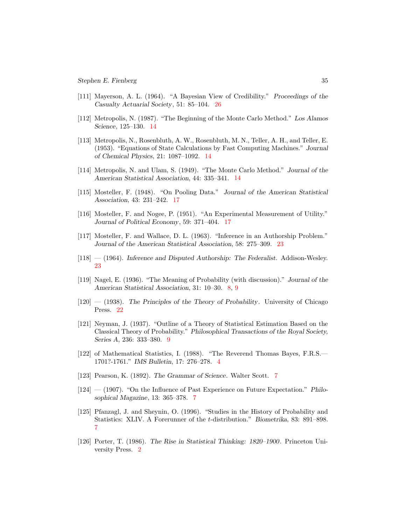- <span id="page-34-15"></span>[111] Mayerson, A. L. (1964). "A Bayesian View of Credibility." Proceedings of the Casualty Actuarial Society, 51: 85–104. [26](#page-25-0)
- <span id="page-34-9"></span>[112] Metropolis, N. (1987). "The Beginning of the Monte Carlo Method." Los Alamos Science, 125–130. [14](#page-13-0)
- <span id="page-34-8"></span>[113] Metropolis, N., Rosenbluth, A. W., Rosenbluth, M. N., Teller, A. H., and Teller, E. (1953). "Equations of State Calculations by Fast Computing Machines." Journal of Chemical Physics, 21: 1087–1092. [14](#page-13-0)
- <span id="page-34-7"></span>[114] Metropolis, N. and Ulam, S. (1949). "The Monte Carlo Method." Journal of the American Statistical Association, 44: 335–341. [14](#page-13-0)
- <span id="page-34-10"></span>[115] Mosteller, F. (1948). "On Pooling Data." Journal of the American Statistical Association, 43: 231–242. [17](#page-16-3)
- <span id="page-34-11"></span>[116] Mosteller, F. and Nogee, P. (1951). "An Experimental Measurement of Utility." Journal of Political Economy, 59: 371–404. [17](#page-16-3)
- <span id="page-34-13"></span>[117] Mosteller, F. and Wallace, D. L. (1963). "Inference in an Authorship Problem." Journal of the American Statistical Association, 58: 275–309. [23](#page-22-1)
- <span id="page-34-14"></span>[118] — (1964). Inference and Disputed Authorship: The Federalist. Addison-Wesley. [23](#page-22-1)
- <span id="page-34-5"></span>[119] Nagel, E. (1936). "The Meaning of Probability (with discussion)." Journal of the American Statistical Association, 31: 10–30. [8,](#page-7-0) [9](#page-8-3)
- <span id="page-34-12"></span> $[120]$  —  $(1938)$ . The Principles of the Theory of Probability. University of Chicago Press. [22](#page-21-4)
- <span id="page-34-6"></span>[121] Neyman, J. (1937). "Outline of a Theory of Statistical Estimation Based on the Classical Theory of Probability." Philosophical Transactions of the Royal Society, Series A, 236: 333–380. [9](#page-8-3)
- <span id="page-34-1"></span>[122] of Mathematical Statistics, I. (1988). "The Reverend Thomas Bayes, F.R.S.— 1701?-1761." IMS Bulletin, 17: 276–278. [4](#page-3-1)
- <span id="page-34-3"></span>[123] Pearson, K. (1892). The Grammar of Science. Walter Scott. [7](#page-6-1)
- <span id="page-34-4"></span>[124] — (1907). "On the Influence of Past Experience on Future Expectation." Philosophical Magazine, 13: 365–378. [7](#page-6-1)
- <span id="page-34-2"></span>[125] Pfanzagl, J. and Sheynin, O. (1996). "Studies in the History of Probability and Statistics: XLIV. A Forerunner of the t-distribution." Biometrika, 83: 891–898. [7](#page-6-1)
- <span id="page-34-0"></span>[126] Porter, T. (1986). The Rise in Statistical Thinking: 1820–1900. Princeton University Press. [2](#page-1-2)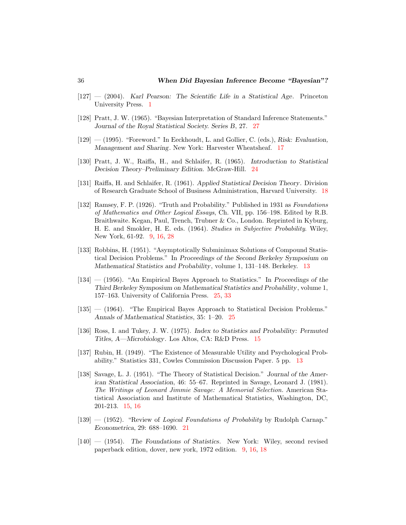- <span id="page-35-0"></span> $[127]$  — (2004). Karl Pearson: The Scientific Life in a Statistical Age. Princeton University Press. [1](#page-0-5)
- <span id="page-35-13"></span>[128] Pratt, J. W. (1965). "Bayesian Interpretation of Standard Inference Statements." Journal of the Royal Statistical Society. Series B, 27. [27](#page-26-0)
- <span id="page-35-7"></span>[129] — (1995). "Foreword." In Eeckhoudt, L. and Gollier, C. (eds.), Risk: Evaluation, Management and Sharing. New York: Harvester Wheatsheaf. [17](#page-16-3)
- <span id="page-35-10"></span>[130] Pratt, J. W., Raiffa, H., and Schlaifer, R. (1965). Introduction to Statistical Decision Theory–Preliminary Edition. McGraw-Hill. [24](#page-23-0)
- <span id="page-35-8"></span>[131] Raiffa, H. and Schlaifer, R. (1961). Applied Statistical Decision Theory. Division of Research Graduate School of Business Administration, Harvard University. [18](#page-17-2)
- <span id="page-35-1"></span>[132] Ramsey, F. P. (1926). "Truth and Probability." Published in 1931 as Foundations of Mathematics and Other Logical Essays, Ch. VII, pp. 156–198. Edited by R.B. Braithwaite. Kegan, Paul, Trench, Trubner & Co., London. Reprinted in Kyburg, H. E. and Smokler, H. E. eds. (1964). Studies in Subjective Probability. Wiley, New York, 61-92. [9,](#page-8-3) [16,](#page-15-3) [28](#page-27-10)
- <span id="page-35-4"></span>[133] Robbins, H. (1951). "Asymptotically Subminimax Solutions of Compound Statistical Decision Problems." In Proceedings of the Second Berkeley Symposium on Mathematical Statistics and Probability, volume 1, 131–148. Berkeley. [13](#page-12-0)
- <span id="page-35-11"></span>[134] — (1956). "An Empirical Bayes Approach to Statistics." In Proceedings of the Third Berkeley Symposium on Mathematical Statistics and Probability, volume 1, 157–163. University of California Press. [25,](#page-24-1) [33](#page-32-18)
- <span id="page-35-12"></span>[135] — (1964). "The Empirical Bayes Approach to Statistical Decision Problems." Annals of Mathematical Statistics, 35: 1–20. [25](#page-24-1)
- <span id="page-35-6"></span>[136] Ross, I. and Tukey, J. W. (1975). Index to Statistics and Probability: Permuted Titles, A—Microbiology. Los Altos, CA: R&D Press. [15](#page-14-0)
- <span id="page-35-3"></span>[137] Rubin, H. (1949). "The Existence of Measurable Utility and Psychological Probability." Statistics 331, Cowles Commission Discussion Paper. 5 pp. [13](#page-12-0)
- <span id="page-35-5"></span>[138] Savage, L. J. (1951). "The Theory of Statistical Decision." Journal of the American Statistical Association, 46: 55–67. Reprinted in Savage, Leonard J. (1981). The Writings of Leonard Jimmie Savage: A Memorial Selection. American Statistical Association and Institute of Mathematical Statistics, Washington, DC, 201-213. [15,](#page-14-0) [16](#page-15-3)
- <span id="page-35-9"></span>[139] — (1952). "Review of Logical Foundations of Probability by Rudolph Carnap." Econometrica, 29: 688–1690. [21](#page-20-1)
- <span id="page-35-2"></span>[140] — (1954). The Foundations of Statistics. New York: Wiley, second revised paperback edition, dover, new york, 1972 edition. [9,](#page-8-3) [16,](#page-15-3) [18](#page-17-2)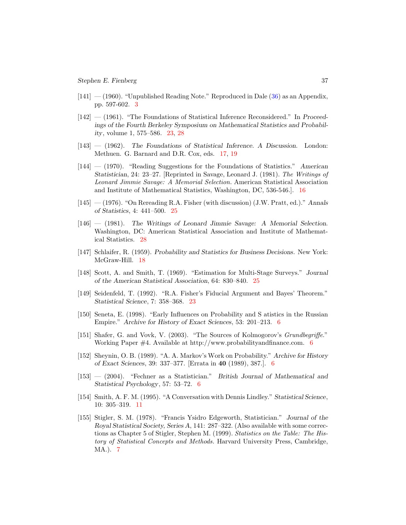- <span id="page-36-15"></span><span id="page-36-0"></span> $[141]$  — (1960). "Unpublished Reading Note." Reproduced in Dale  $(36)$  as an Appendix, pp. 597-602. [3](#page-2-2)
- <span id="page-36-10"></span>[142] — (1961). "The Foundations of Statistical Inference Reconsidered." In Proceedings of the Fourth Berkeley Symposium on Mathematical Statistics and Probability, volume 1, 575–586. [23,](#page-22-1) [28](#page-27-10)
- <span id="page-36-8"></span>[143] — (1962). The Foundations of Statistical Inference. A Discussion. London: Methuen. G. Barnard and D.R. Cox, eds. [17,](#page-16-3) [19](#page-18-0)
- <span id="page-36-7"></span>[144] — (1970). "Reading Suggestions for the Foundations of Statistics." American Statistician, 24: 23–27. [Reprinted in Savage, Leonard J. (1981). The Writings of Leonard Jimmie Savage: A Memorial Selection. American Statistical Association and Institute of Mathematical Statistics, Washington, DC, 536-546.]. [16](#page-15-3)
- <span id="page-36-13"></span>[145] — (1976). "On Rereading R.A. Fisher (with discussion) (J.W. Pratt, ed.)." Annals of Statistics, 4: 441–500. [25](#page-24-1)
- <span id="page-36-14"></span>[146] — (1981). The Writings of Leonard Jimmie Savage: A Memorial Selection. Washington, DC: American Statistical Association and Institute of Mathematical Statistics. [28](#page-27-10)
- <span id="page-36-9"></span>[147] Schlaifer, R. (1959). Probability and Statistics for Business Decisions. New York: McGraw-Hill. [18](#page-17-2)
- <span id="page-36-12"></span>[148] Scott, A. and Smith, T. (1969). "Estimation for Multi-Stage Surveys." Journal of the American Statistical Association, 64: 830–840. [25](#page-24-1)
- <span id="page-36-11"></span>[149] Seidenfeld, T. (1992). "R.A. Fisher's Fiducial Argument and Bayes' Theorem." Statistical Science, 7: 358–368. [23](#page-22-1)
- <span id="page-36-1"></span>[150] Seneta, E. (1998). "Early Influences on Probability and S atistics in the Russian Empire." Archive for History of Exact Sciences, 53: 201–213. [6](#page-5-2)
- <span id="page-36-3"></span>[151] Shafer, G. and Vovk, V. (2003). "The Sources of Kolmogorov's Grundbegriffe." Working Paper  $#4$ . Available at http://www.probabilityandfinance.com. [6](#page-5-2)
- <span id="page-36-4"></span>[152] Sheynin, O. B. (1989). "A. A. Markov's Work on Probability." Archive for History of Exact Sciences, 39: 337–377. [Errata in 40 (1989), 387.]. [6](#page-5-2)
- <span id="page-36-2"></span>[153] — (2004). "Fechner as a Statistician." British Journal of Mathematical and Statistical Psychology, 57: 53–72. [6](#page-5-2)
- <span id="page-36-6"></span>[154] Smith, A. F. M. (1995). "A Conversation with Dennis Lindley." Statistical Science, 10: 305–319. [11](#page-10-1)
- <span id="page-36-5"></span>[155] Stigler, S. M. (1978). "Francis Ysidro Edgeworth, Statistician." Journal of the Royal Statistical Society, Series A, 141: 287–322. (Also available with some corrections as Chapter 5 of Stigler, Stephen M. (1999). Statistics on the Table: The History of Statistical Concepts and Methods. Harvard University Press, Cambridge, MA.). [7](#page-6-1)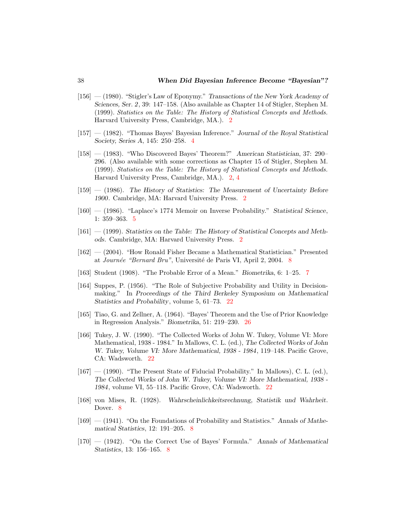- <span id="page-37-3"></span>[156] — (1980). "Stigler's Law of Eponymy." Transactions of the New York Academy of Sciences, Ser. 2, 39: 147–158. (Also available as Chapter 14 of Stigler, Stephen M. (1999). Statistics on the Table: The History of Statistical Concepts and Methods. Harvard University Press, Cambridge, MA.). [2](#page-1-2)
- <span id="page-37-4"></span>[157] — (1982). "Thomas Bayes' Bayesian Inference." Journal of the Royal Statistical Society, Series A, 145: 250–258. [4](#page-3-1)
- <span id="page-37-0"></span>[158] — (1983). "Who Discovered Bayes' Theorem?" American Statistician, 37: 290– 296. (Also available with some corrections as Chapter 15 of Stigler, Stephen M. (1999). Statistics on the Table: The History of Statistical Concepts and Methods. Harvard University Press, Cambridge, MA.). [2,](#page-1-2) [4](#page-3-1)
- <span id="page-37-1"></span>[159] — (1986). The History of Statistics: The Measurement of Uncertainty Before 1900. Cambridge, MA: Harvard University Press. [2](#page-1-2)
- <span id="page-37-5"></span>[160] — (1986). "Laplace's 1774 Memoir on Inverse Probability." Statistical Science, 1: 359–363. [5](#page-4-2)
- <span id="page-37-2"></span>[161]  $-$  (1999). Statistics on the Table: The History of Statistical Concepts and Methods. Cambridge, MA: Harvard University Press. [2](#page-1-2)
- <span id="page-37-7"></span>[162] — (2004). "How Ronald Fisher Became a Mathematical Statistician." Presented at Journée "Bernard Bru", Université de Paris VI, April 2, 2004. [8](#page-7-0)
- <span id="page-37-6"></span>[163] Student (1908). "The Probable Error of a Mean." Biometrika, 6: 1–25. [7](#page-6-1)
- <span id="page-37-11"></span>[164] Suppes, P. (1956). "The Role of Subjective Probability and Utility in Decisionmaking." In Proceedings of the Third Berkeley Symposium on Mathematical Statistics and Probability, volume 5, 61–73. [22](#page-21-4)
- <span id="page-37-14"></span>[165] Tiao, G. and Zellner, A. (1964). "Bayes' Theorem and the Use of Prior Knowledge in Regression Analysis." Biometrika, 51: 219–230. [26](#page-25-0)
- <span id="page-37-12"></span>[166] Tukey, J. W. (1990). "The Collected Works of John W. Tukey, Volume VI: More Mathematical, 1938 - 1984." In Mallows, C. L. (ed.), The Collected Works of John W. Tukey, Volume VI: More Mathematical, 1938 - 1984, 119–148. Pacific Grove, CA: Wadsworth. [22](#page-21-4)
- <span id="page-37-13"></span>[167] — (1990). "The Present State of Fiducial Probability." In Mallows), C. L. (ed.), The Collected Works of John W. Tukey, Volume VI: More Mathematical, 1938 - 1984, volume VI, 55–118. Pacific Grove, CA: Wadsworth. [22](#page-21-4)
- <span id="page-37-8"></span>[168] von Mises, R. (1928). Wahrscheinlichkeitsrechnung, Statistik und Wahrheit. Dover. [8](#page-7-0)
- <span id="page-37-9"></span>[169] — (1941). "On the Foundations of Probability and Statistics." Annals of Mathematical Statistics, 12: 191–205. [8](#page-7-0)
- <span id="page-37-10"></span>[170] — (1942). "On the Correct Use of Bayes' Formula." Annals of Mathematical Statistics, 13: 156–165. [8](#page-7-0)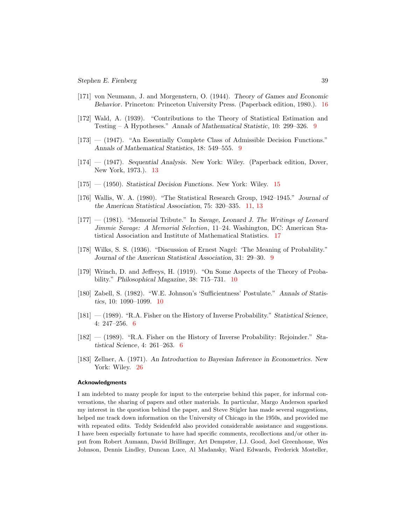- <span id="page-38-10"></span>[171] von Neumann, J. and Morgenstern, O. (1944). Theory of Games and Economic Behavior. Princeton: Princeton University Press. (Paperback edition, 1980.). [16](#page-15-3)
- <span id="page-38-2"></span>[172] Wald, A. (1939). "Contributions to the Theory of Statistical Estimation and Testing – A Hypotheses." Annals of Mathematical Statistic, 10: 299–326. [9](#page-8-3)
- <span id="page-38-3"></span>[173] — (1947). "An Essentially Complete Class of Admissible Decision Functions." Annals of Mathematical Statistics, 18: 549–555. [9](#page-8-3)
- <span id="page-38-8"></span>[174] — (1947). Sequential Analysis. New York: Wiley. (Paperback edition, Dover, New York, 1973.). [13](#page-12-0)
- <span id="page-38-9"></span> $[175]$  — (1950). Statistical Decision Functions. New York: Wiley. [15](#page-14-0)
- <span id="page-38-7"></span>[176] Wallis, W. A. (1980). "The Statistical Research Group, 1942–1945." Journal of the American Statistical Association, 75: 320–335. [11,](#page-10-1) [13](#page-12-0)
- <span id="page-38-11"></span> $[177]$  — (1981). "Memorial Tribute." In Savage, Leonard J. The Writings of Leonard Jimmie Savage: A Memorial Selection, 11–24. Washington, DC: American Statistical Association and Institute of Mathematical Statistics. [17](#page-16-3)
- <span id="page-38-4"></span>[178] Wilks, S. S. (1936). "Discussion of Ernest Nagel: 'The Meaning of Probability." Journal of the American Statistical Association, 31: 29–30. [9](#page-8-3)
- <span id="page-38-6"></span>[179] Wrinch, D. and Jeffreys, H. (1919). "On Some Aspects of the Theory of Probability." Philosophical Magazine, 38: 715–731. [10](#page-9-0)
- <span id="page-38-5"></span>[180] Zabell, S. (1982). "W.E. Johnson's 'Sufficientness' Postulate." Annals of Statistics, 10: 1090–1099. [10](#page-9-0)
- <span id="page-38-0"></span>[181] — (1989). "R.A. Fisher on the History of Inverse Probability." Statistical Science, 4: 247–256. [6](#page-5-2)
- <span id="page-38-1"></span>[182] — (1989). "R.A. Fisher on the History of Inverse Probability: Rejoinder." Statistical Science, 4: 261–263. [6](#page-5-2)
- <span id="page-38-12"></span>[183] Zellner, A. (1971). An Introduction to Bayesian Inference in Econometrics. New York: Wiley. [26](#page-25-0)

#### Acknowledgments

I am indebted to many people for input to the enterprise behind this paper, for informal conversations, the sharing of papers and other materials. In particular, Margo Anderson sparked my interest in the question behind the paper, and Steve Stigler has made several suggestions, helped me track down information on the University of Chicago in the 1950s, and provided me with repeated edits. Teddy Seidenfeld also provided considerable assistance and suggestions. I have been especially fortunate to have had specific comments, recollections and/or other input from Robert Aumann, David Brillinger, Art Dempster, I.J. Good, Joel Greenhouse, Wes Johnson, Dennis Lindley, Duncan Luce, Al Madansky, Ward Edwards, Frederick Mosteller,